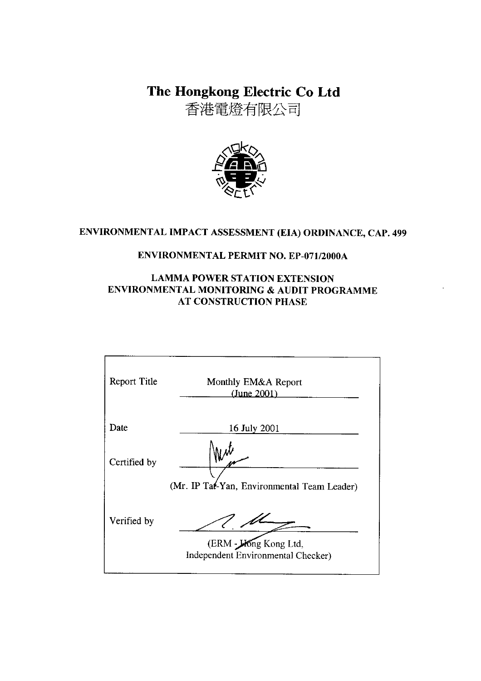The Hongkong Electric Co Ltd

香港電燈有限公司



## ENVIRONMENTAL IMPACT ASSESSMENT (EIA) ORDINANCE, CAP. 499

### **ENVIRONMENTAL PERMIT NO. EP-071/2000A**

### **LAMMA POWER STATION EXTENSION** ENVIRONMENTAL MONITORING & AUDIT PROGRAMME **AT CONSTRUCTION PHASE**

| Report Title | Monthly EM&A Report<br>(June 2001)                          |
|--------------|-------------------------------------------------------------|
| Date         | 16 July 2001                                                |
| Certified by | (Mr. IP Tat-Yan, Environmental Team Leader)                 |
| Verified by  | (ERM - King Kong Ltd,<br>Independent Environmental Checker) |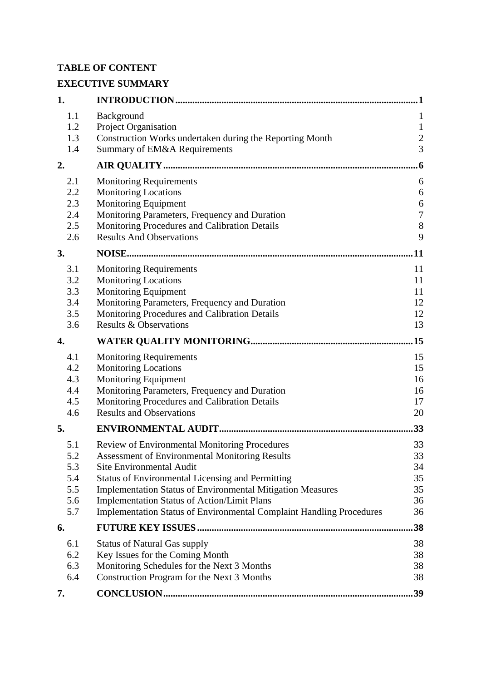## **TABLE OF CONTENT**

# **EXECUTIVE SUMMARY**

| 1.         |                                                                                                                              | 1                |
|------------|------------------------------------------------------------------------------------------------------------------------------|------------------|
| 1.1        | Background                                                                                                                   | $\mathbf{1}$     |
| 1.2        | Project Organisation                                                                                                         | $\mathbf{1}$     |
| 1.3        | Construction Works undertaken during the Reporting Month                                                                     | $\boldsymbol{2}$ |
| 1.4        | Summary of EM&A Requirements                                                                                                 | $\overline{3}$   |
| 2.         |                                                                                                                              | 6                |
| 2.1        | <b>Monitoring Requirements</b>                                                                                               | 6                |
| 2.2        | <b>Monitoring Locations</b>                                                                                                  | 6                |
| 2.3        | Monitoring Equipment                                                                                                         | 6                |
| 2.4        | Monitoring Parameters, Frequency and Duration                                                                                | $\overline{7}$   |
| 2.5        | Monitoring Procedures and Calibration Details                                                                                | 8                |
| 2.6        | <b>Results And Observations</b>                                                                                              | 9                |
| 3.         |                                                                                                                              | <b>11</b>        |
| 3.1        | <b>Monitoring Requirements</b>                                                                                               | 11               |
| 3.2        | <b>Monitoring Locations</b>                                                                                                  | 11               |
| 3.3        | Monitoring Equipment                                                                                                         | 11               |
| 3.4        | Monitoring Parameters, Frequency and Duration                                                                                | 12               |
| 3.5<br>3.6 | Monitoring Procedures and Calibration Details<br><b>Results &amp; Observations</b>                                           | 12<br>13         |
|            |                                                                                                                              |                  |
| 4.         |                                                                                                                              | .15              |
| 4.1        | <b>Monitoring Requirements</b>                                                                                               | 15               |
| 4.2        | <b>Monitoring Locations</b>                                                                                                  | 15               |
| 4.3        | <b>Monitoring Equipment</b>                                                                                                  | 16               |
| 4.4        | Monitoring Parameters, Frequency and Duration                                                                                | 16               |
| 4.5<br>4.6 | Monitoring Procedures and Calibration Details<br><b>Results and Observations</b>                                             | 17<br>20         |
|            |                                                                                                                              |                  |
| 5.         |                                                                                                                              | 33               |
| 5.1        | Review of Environmental Monitoring Procedures                                                                                | 33               |
| 5.2        | <b>Assessment of Environmental Monitoring Results</b>                                                                        | 33               |
| 5.3<br>5.4 | <b>Site Environmental Audit</b>                                                                                              | 34               |
| 5.5        | <b>Status of Environmental Licensing and Permitting</b><br><b>Implementation Status of Environmental Mitigation Measures</b> | 35<br>35         |
| 5.6        | <b>Implementation Status of Action/Limit Plans</b>                                                                           | 36               |
| 5.7        | <b>Implementation Status of Environmental Complaint Handling Procedures</b>                                                  | 36               |
| 6.         |                                                                                                                              | 38               |
| 6.1        | <b>Status of Natural Gas supply</b>                                                                                          | 38               |
| 6.2        | Key Issues for the Coming Month                                                                                              | 38               |
| 6.3        | Monitoring Schedules for the Next 3 Months                                                                                   | 38               |
| 6.4        | Construction Program for the Next 3 Months                                                                                   | 38               |
| 7.         |                                                                                                                              | .39              |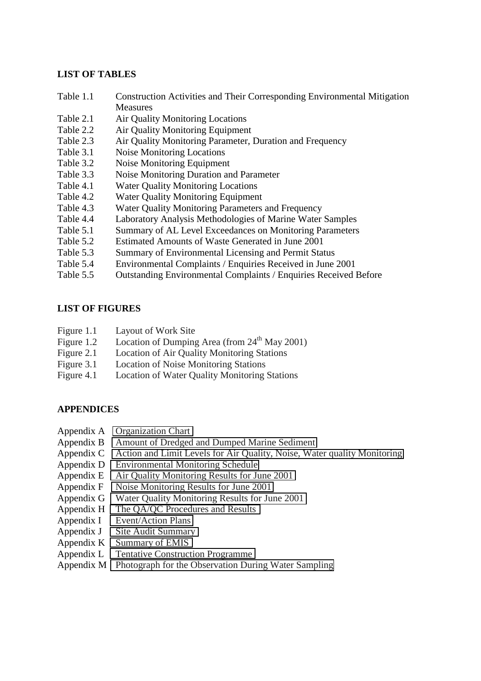#### **LIST OF TABLES**

- Table 1.1 Construction Activities and Their Corresponding Environmental Mitigation Measures
- Table 2.1 Air Quality Monitoring Locations
- Table 2.2 Air Quality Monitoring Equipment
- Table 2.3 Air Quality Monitoring Parameter, Duration and Frequency
- Table 3.1 Noise Monitoring Locations
- Table 3.2 Noise Monitoring Equipment
- Table 3.3 Noise Monitoring Duration and Parameter
- Table 4.1 Water Quality Monitoring Locations
- Table 4.2 Water Quality Monitoring Equipment
- Table 4.3 Water Quality Monitoring Parameters and Frequency
- Table 4.4 Laboratory Analysis Methodologies of Marine Water Samples
- Table 5.1 Summary of AL Level Exceedances on Monitoring Parameters
- Table 5.2 Estimated Amounts of Waste Generated in June 2001
- Table 5.3 Summary of Environmental Licensing and Permit Status
- Table 5.4 Environmental Complaints / Enquiries Received in June 2001
- Table 5.5 Outstanding Environmental Complaints / Enquiries Received Before

### **LIST OF FIGURES**

- Figure 1.1 Layout of Work Site
- Figure 1.2 Location of Dumping Area (from  $24<sup>th</sup>$  May 2001)
- Figure 2.1 Location of Air Quality Monitoring Stations
- Figure 3.1 Location of Noise Monitoring Stations
- Figure 4.1 Location of Water Quality Monitoring Stations

### **APPENDICES**

- Appendix A Organization Chart
- Appendix B Amount of Dredged and Dumped Marine Sediment
- Appendix C Action and Limit Levels for Air Quality, Noise, Water quality Monitoring
- Appendix D Environmental Monitoring Schedule
- Appendix E Air Quality Monitoring Results for June 2001
- Appendix F Noise Monitoring Results for June 2001
- Appendix G Water Quality Monitoring Results for June 2001
- Appendix H The QA/QC Procedures and Results
- Appendix I Event/Action Plans
- Appendix J Site Audit Summary
- Appendix K Summary of EMIS
- Appendix L Tentative Construction Programme
- Appendix M Photograph for the Observation During Water Sampling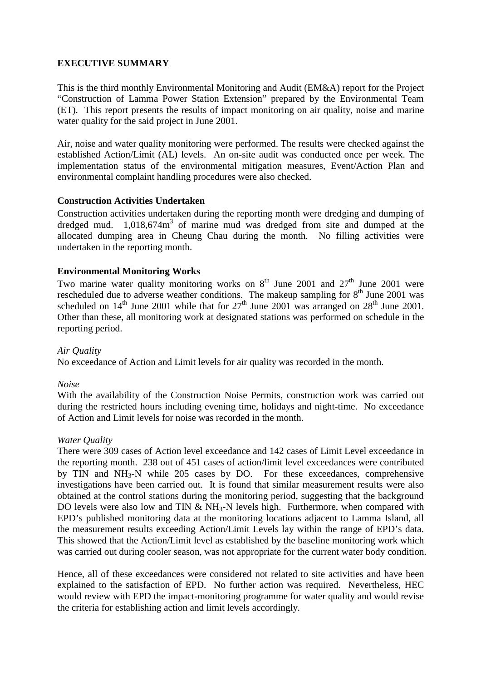### **EXECUTIVE SUMMARY**

This is the third monthly Environmental Monitoring and Audit (EM&A) report for the Project "Construction of Lamma Power Station Extension" prepared by the Environmental Team (ET). This report presents the results of impact monitoring on air quality, noise and marine water quality for the said project in June 2001.

Air, noise and water quality monitoring were performed. The results were checked against the established Action/Limit (AL) levels. An on-site audit was conducted once per week. The implementation status of the environmental mitigation measures, Event/Action Plan and environmental complaint handling procedures were also checked.

#### **Construction Activities Undertaken**

Construction activities undertaken during the reporting month were dredging and dumping of dredged mud. 1,018,674m<sup>3</sup> of marine mud was dredged from site and dumped at the allocated dumping area in Cheung Chau during the month. No filling activities were undertaken in the reporting month.

#### **Environmental Monitoring Works**

Two marine water quality monitoring works on  $8<sup>th</sup>$  June 2001 and  $27<sup>th</sup>$  June 2001 were rescheduled due to adverse weather conditions. The makeup sampling for  $8<sup>th</sup>$  June 2001 was scheduled on  $14<sup>th</sup>$  June 2001 while that for  $27<sup>th</sup>$  June 2001 was arranged on  $28<sup>th</sup>$  June 2001. Other than these, all monitoring work at designated stations was performed on schedule in the reporting period.

#### *Air Quality*

No exceedance of Action and Limit levels for air quality was recorded in the month.

#### *Noise*

With the availability of the Construction Noise Permits, construction work was carried out during the restricted hours including evening time, holidays and night-time. No exceedance of Action and Limit levels for noise was recorded in the month.

#### *Water Quality*

There were 309 cases of Action level exceedance and 142 cases of Limit Level exceedance in the reporting month. 238 out of 451 cases of action/limit level exceedances were contributed by TIN and  $NH<sub>3</sub>-N$  while 205 cases by DO. For these exceedances, comprehensive investigations have been carried out. It is found that similar measurement results were also obtained at the control stations during the monitoring period, suggesting that the background DO levels were also low and TIN  $&$  NH<sub>3</sub>-N levels high. Furthermore, when compared with EPD's published monitoring data at the monitoring locations adjacent to Lamma Island, all the measurement results exceeding Action/Limit Levels lay within the range of EPD's data. This showed that the Action/Limit level as established by the baseline monitoring work which was carried out during cooler season, was not appropriate for the current water body condition.

Hence, all of these exceedances were considered not related to site activities and have been explained to the satisfaction of EPD. No further action was required. Nevertheless, HEC would review with EPD the impact-monitoring programme for water quality and would revise the criteria for establishing action and limit levels accordingly.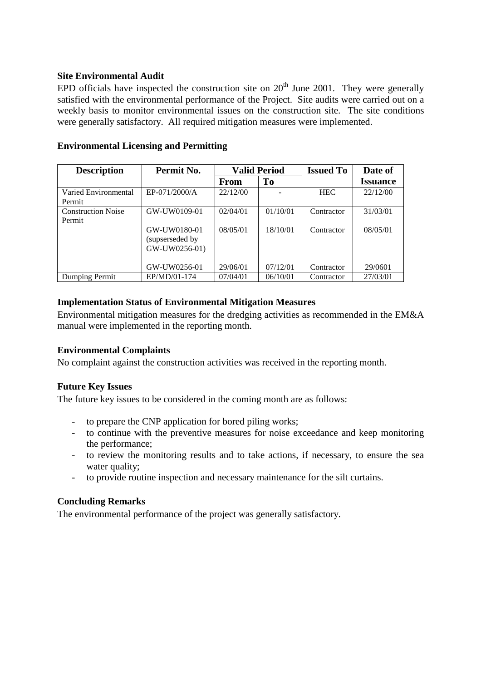#### **Site Environmental Audit**

EPD officials have inspected the construction site on  $20<sup>th</sup>$  June 2001. They were generally satisfied with the environmental performance of the Project. Site audits were carried out on a weekly basis to monitor environmental issues on the construction site. The site conditions were generally satisfactory. All required mitigation measures were implemented.

| <b>Description</b>        | Permit No.      | <b>Valid Period</b> |                | <b>Issued To</b> | Date of         |
|---------------------------|-----------------|---------------------|----------------|------------------|-----------------|
|                           |                 | From                | T <sub>0</sub> |                  | <b>Issuance</b> |
| Varied Environmental      | EP-071/2000/A   | 22/12/00            |                | <b>HEC</b>       | 22/12/00        |
| Permit                    |                 |                     |                |                  |                 |
| <b>Construction Noise</b> | GW-UW0109-01    | 02/04/01            | 01/10/01       | Contractor       | 31/03/01        |
| Permit                    |                 |                     |                |                  |                 |
|                           | GW-UW0180-01    | 08/05/01            | 18/10/01       | Contractor       | 08/05/01        |
|                           | (supserseded by |                     |                |                  |                 |
|                           | GW-UW0256-01)   |                     |                |                  |                 |
|                           |                 |                     |                |                  |                 |
|                           | GW-UW0256-01    | 29/06/01            | 07/12/01       | Contractor       | 29/0601         |
| Dumping Permit            | EP/MD/01-174    | 07/04/01            | 06/10/01       | Contractor       | 27/03/01        |

#### **Environmental Licensing and Permitting**

#### **Implementation Status of Environmental Mitigation Measures**

Environmental mitigation measures for the dredging activities as recommended in the EM&A manual were implemented in the reporting month.

### **Environmental Complaints**

No complaint against the construction activities was received in the reporting month.

#### **Future Key Issues**

The future key issues to be considered in the coming month are as follows:

- to prepare the CNP application for bored piling works;
- to continue with the preventive measures for noise exceedance and keep monitoring the performance;
- to review the monitoring results and to take actions, if necessary, to ensure the sea water quality;
- to provide routine inspection and necessary maintenance for the silt curtains.

#### **Concluding Remarks**

The environmental performance of the project was generally satisfactory.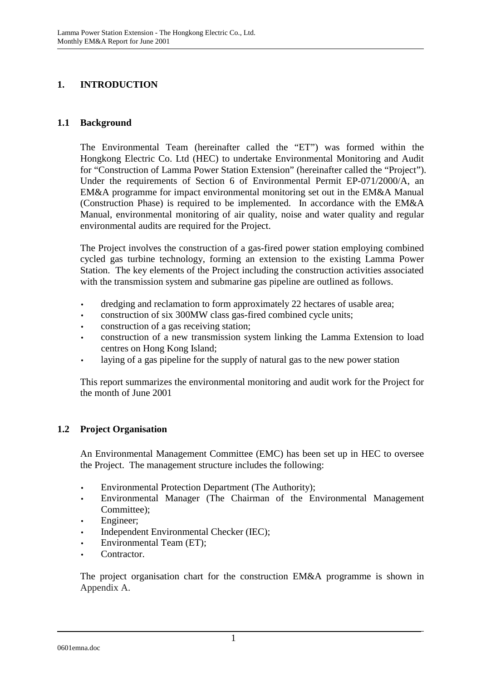# **1. INTRODUCTION**

### **1.1 Background**

The Environmental Team (hereinafter called the "ET") was formed within the Hongkong Electric Co. Ltd (HEC) to undertake Environmental Monitoring and Audit for "Construction of Lamma Power Station Extension" (hereinafter called the "Project"). Under the requirements of Section 6 of Environmental Permit EP-071/2000/A, an EM&A programme for impact environmental monitoring set out in the EM&A Manual (Construction Phase) is required to be implemented. In accordance with the EM&A Manual, environmental monitoring of air quality, noise and water quality and regular environmental audits are required for the Project.

The Project involves the construction of a gas-fired power station employing combined cycled gas turbine technology, forming an extension to the existing Lamma Power Station. The key elements of the Project including the construction activities associated with the transmission system and submarine gas pipeline are outlined as follows.

- dredging and reclamation to form approximately 22 hectares of usable area;
- construction of six 300MW class gas-fired combined cycle units;
- construction of a gas receiving station;
- construction of a new transmission system linking the Lamma Extension to load centres on Hong Kong Island;
- laying of a gas pipeline for the supply of natural gas to the new power station

This report summarizes the environmental monitoring and audit work for the Project for the month of June 2001

### **1.2 Project Organisation**

An Environmental Management Committee (EMC) has been set up in HEC to oversee the Project. The management structure includes the following:

- Environmental Protection Department (The Authority);
- Environmental Manager (The Chairman of the Environmental Management Committee);
- Engineer;
- Independent Environmental Checker (IEC);
- Environmental Team (ET);
- Contractor.

The project organisation chart for the construction EM&A programme is shown in Appendix A.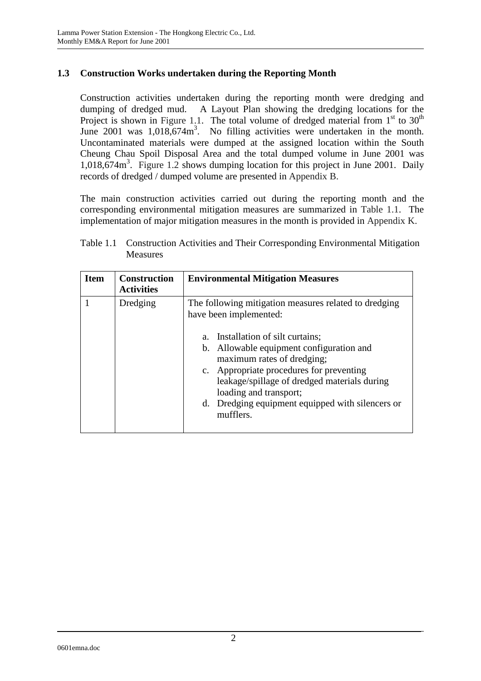### **1.3 Construction Works undertaken during the Reporting Month**

Construction activities undertaken during the reporting month were dredging and dumping of dredged mud. A Layout Plan showing the dredging locations for the Project is shown in Figure 1.1. The total volume of dredged material from  $1<sup>st</sup>$  to  $30<sup>th</sup>$ June 2001 was 1,018,674m<sup>3</sup>. No filling activities were undertaken in the month. Uncontaminated materials were dumped at the assigned location within the South Cheung Chau Spoil Disposal Area and the total dumped volume in June 2001 was 1,018,674m<sup>3</sup> . Figure 1.2 shows dumping location for this project in June 2001. Daily records of dredged / dumped volume are presented in Appendix B.

The main construction activities carried out during the reporting month and the corresponding environmental mitigation measures are summarized in Table 1.1. The implementation of major mitigation measures in the month is provided in Appendix K.

| <b>Item</b> | <b>Construction</b><br><b>Activities</b> | <b>Environmental Mitigation Measures</b>                                                                                                                                                                                                                                                                                     |
|-------------|------------------------------------------|------------------------------------------------------------------------------------------------------------------------------------------------------------------------------------------------------------------------------------------------------------------------------------------------------------------------------|
|             | Dredging                                 | The following mitigation measures related to dredging<br>have been implemented:<br>Installation of silt curtains;<br>$a_{-}$<br>b. Allowable equipment configuration and<br>maximum rates of dredging;<br>c. Appropriate procedures for preventing<br>leakage/spillage of dredged materials during<br>loading and transport; |
|             |                                          | Dredging equipment equipped with silencers or<br>d.<br>mufflers.                                                                                                                                                                                                                                                             |

Table 1.1 Construction Activities and Their Corresponding Environmental Mitigation **Measures**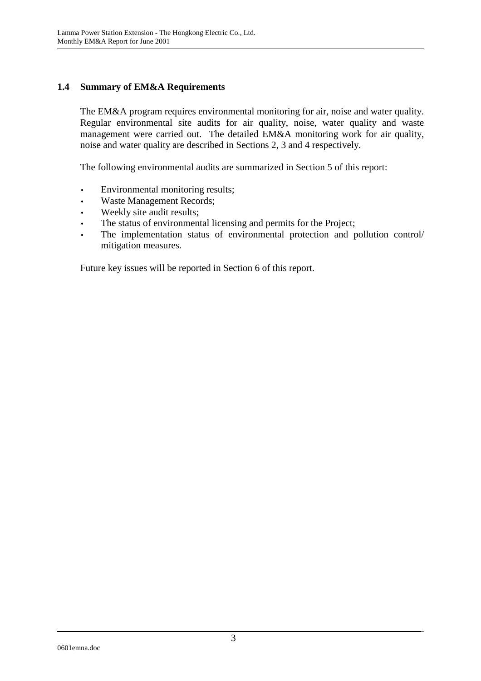### **1.4 Summary of EM&A Requirements**

The EM&A program requires environmental monitoring for air, noise and water quality. Regular environmental site audits for air quality, noise, water quality and waste management were carried out. The detailed EM&A monitoring work for air quality, noise and water quality are described in Sections 2, 3 and 4 respectively.

The following environmental audits are summarized in Section 5 of this report:

- Environmental monitoring results;
- Waste Management Records;
- Weekly site audit results;
- The status of environmental licensing and permits for the Project;
- The implementation status of environmental protection and pollution control/ mitigation measures.

Future key issues will be reported in Section 6 of this report.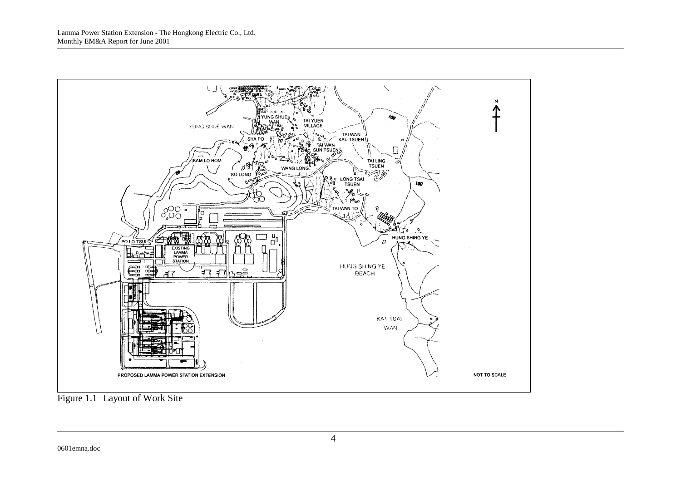

Figure 1.1 Layout of Work Site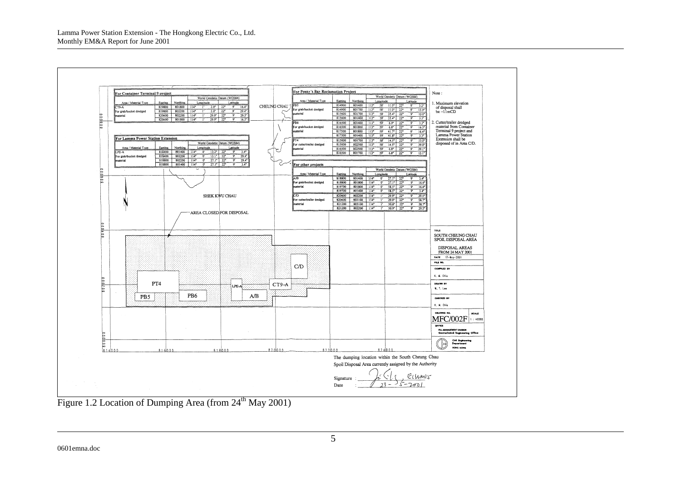

Figure 1.2 Location of Dumping Area (from  $24<sup>th</sup>$  May 2001)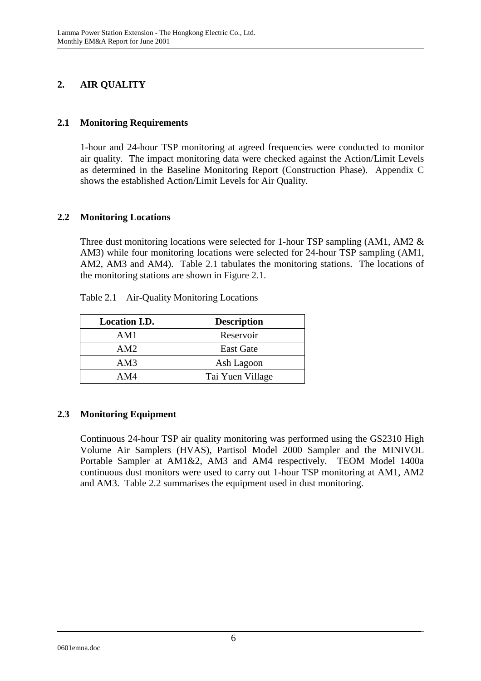# **2. AIR QUALITY**

### **2.1 Monitoring Requirements**

1-hour and 24-hour TSP monitoring at agreed frequencies were conducted to monitor air quality. The impact monitoring data were checked against the Action/Limit Levels as determined in the Baseline Monitoring Report (Construction Phase). Appendix C shows the established Action/Limit Levels for Air Quality.

### **2.2 Monitoring Locations**

Three dust monitoring locations were selected for 1-hour TSP sampling (AM1, AM2 & AM3) while four monitoring locations were selected for 24-hour TSP sampling (AM1, AM2, AM3 and AM4). Table 2.1 tabulates the monitoring stations. The locations of the monitoring stations are shown in Figure 2.1.

| <b>Location I.D.</b> | <b>Description</b> |
|----------------------|--------------------|
| AM1                  | Reservoir          |
| AM2                  | <b>East Gate</b>   |
| AM3                  | Ash Lagoon         |
| AM4                  | Tai Yuen Village   |

Table 2.1 Air-Quality Monitoring Locations

## **2.3 Monitoring Equipment**

Continuous 24-hour TSP air quality monitoring was performed using the GS2310 High Volume Air Samplers (HVAS), Partisol Model 2000 Sampler and the MINIVOL Portable Sampler at AM1&2, AM3 and AM4 respectively. TEOM Model 1400a continuous dust monitors were used to carry out 1-hour TSP monitoring at AM1, AM2 and AM3. Table 2.2 summarises the equipment used in dust monitoring.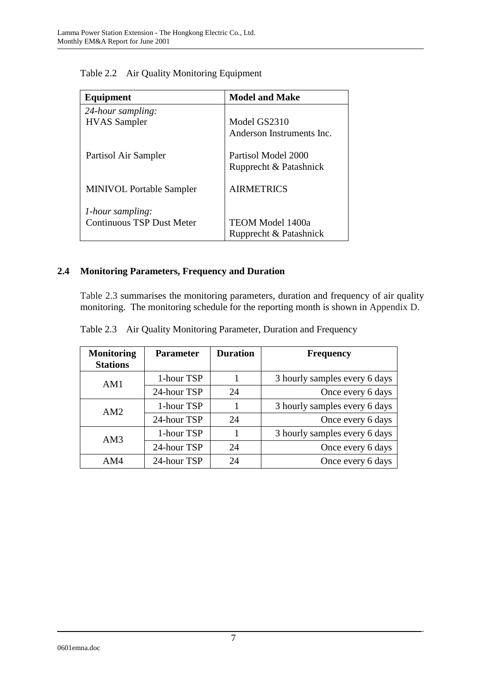| Equipment                        | <b>Model and Make</b>     |
|----------------------------------|---------------------------|
| 24-hour sampling:                |                           |
| <b>HVAS</b> Sampler              | Model GS2310              |
|                                  | Anderson Instruments Inc. |
| Partisol Air Sampler             | Partisol Model 2000       |
|                                  | Rupprecht & Patashnick    |
| <b>MINIVOL Portable Sampler</b>  | <b>AIRMETRICS</b>         |
| 1-hour sampling:                 |                           |
| <b>Continuous TSP Dust Meter</b> | <b>TEOM Model 1400a</b>   |
|                                  | Rupprecht & Patashnick    |

Table 2.2 Air Quality Monitoring Equipment

# **2.4 Monitoring Parameters, Frequency and Duration**

Table 2.3 summarises the monitoring parameters, duration and frequency of air quality monitoring. The monitoring schedule for the reporting month is shown in Appendix D.

|  |  | Table 2.3 Air Quality Monitoring Parameter, Duration and Frequency |  |  |
|--|--|--------------------------------------------------------------------|--|--|
|--|--|--------------------------------------------------------------------|--|--|

| <b>Monitoring</b><br><b>Stations</b> | <b>Parameter</b> | <b>Duration</b> | <b>Frequency</b>              |
|--------------------------------------|------------------|-----------------|-------------------------------|
| AM1                                  | 1-hour TSP       |                 | 3 hourly samples every 6 days |
|                                      | 24-hour TSP      | 24              | Once every 6 days             |
| AM2                                  | 1-hour TSP       |                 | 3 hourly samples every 6 days |
|                                      | 24-hour TSP      | 24              | Once every 6 days             |
| AM3                                  | 1-hour TSP       |                 | 3 hourly samples every 6 days |
|                                      | 24-hour TSP      | 24              | Once every 6 days             |
| AM4                                  | 24-hour TSP      | 24              | Once every 6 days             |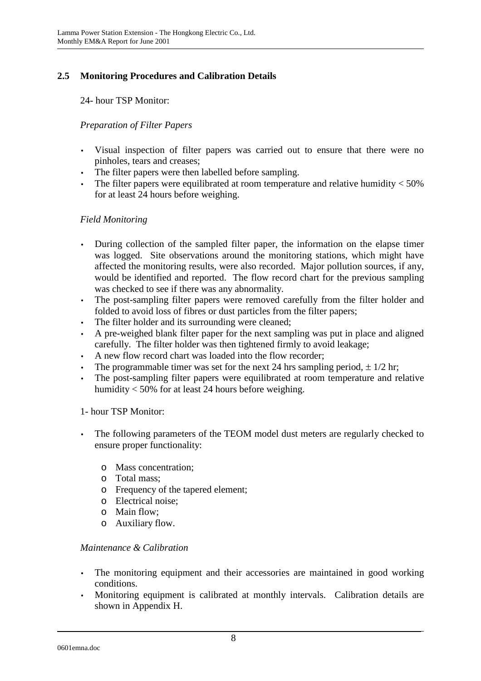# **2.5 Monitoring Procedures and Calibration Details**

24- hour TSP Monitor:

### *Preparation of Filter Papers*

- Visual inspection of filter papers was carried out to ensure that there were no pinholes, tears and creases;
- The filter papers were then labelled before sampling.
- The filter papers were equilibrated at room temperature and relative humidity  $<$  50% for at least 24 hours before weighing.

### *Field Monitoring*

- During collection of the sampled filter paper, the information on the elapse timer was logged. Site observations around the monitoring stations, which might have affected the monitoring results, were also recorded. Major pollution sources, if any, would be identified and reported. The flow record chart for the previous sampling was checked to see if there was any abnormality.
- The post-sampling filter papers were removed carefully from the filter holder and folded to avoid loss of fibres or dust particles from the filter papers;
- The filter holder and its surrounding were cleaned;
- A pre-weighed blank filter paper for the next sampling was put in place and aligned carefully. The filter holder was then tightened firmly to avoid leakage;
- A new flow record chart was loaded into the flow recorder;
- The programmable timer was set for the next 24 hrs sampling period,  $\pm$  1/2 hr;
- The post-sampling filter papers were equilibrated at room temperature and relative humidity < 50% for at least 24 hours before weighing.

### 1- hour TSP Monitor:

- The following parameters of the TEOM model dust meters are regularly checked to ensure proper functionality:
	- o Mass concentration;
	- o Total mass;
	- o Frequency of the tapered element;
	- o Electrical noise;
	- o Main flow;
	- o Auxiliary flow.

### *Maintenance & Calibration*

- The monitoring equipment and their accessories are maintained in good working conditions.
- Monitoring equipment is calibrated at monthly intervals. Calibration details are shown in Appendix H.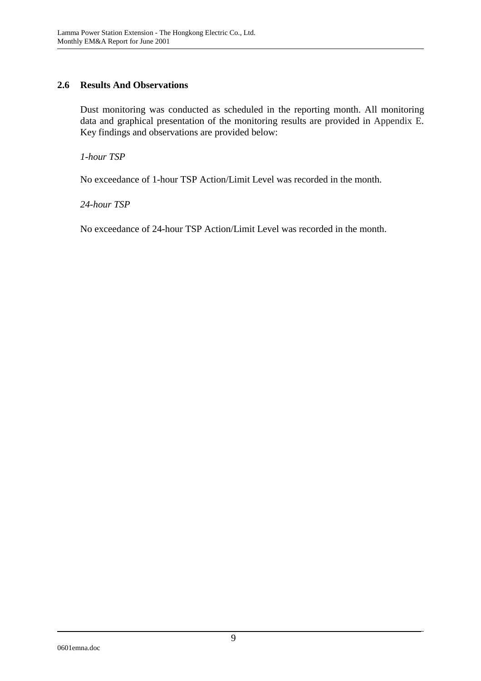### **2.6 Results And Observations**

Dust monitoring was conducted as scheduled in the reporting month. All monitoring data and graphical presentation of the monitoring results are provided in Appendix E. Key findings and observations are provided below:

*1-hour TSP* 

No exceedance of 1-hour TSP Action/Limit Level was recorded in the month.

*24-hour TSP* 

No exceedance of 24-hour TSP Action/Limit Level was recorded in the month.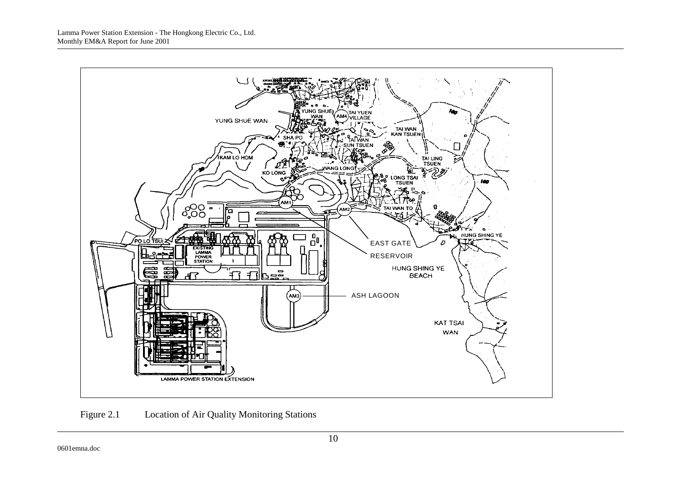

Figure 2.1 Location of Air Quality Monitoring Stations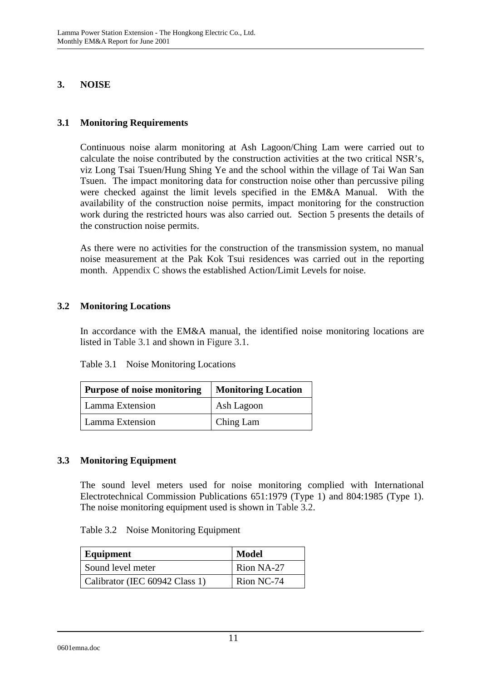### **3. NOISE**

### **3.1 Monitoring Requirements**

Continuous noise alarm monitoring at Ash Lagoon/Ching Lam were carried out to calculate the noise contributed by the construction activities at the two critical NSR's, viz Long Tsai Tsuen/Hung Shing Ye and the school within the village of Tai Wan San Tsuen. The impact monitoring data for construction noise other than percussive piling were checked against the limit levels specified in the EM&A Manual. With the availability of the construction noise permits, impact monitoring for the construction work during the restricted hours was also carried out. Section 5 presents the details of the construction noise permits.

As there were no activities for the construction of the transmission system, no manual noise measurement at the Pak Kok Tsui residences was carried out in the reporting month. Appendix C shows the established Action/Limit Levels for noise.

### **3.2 Monitoring Locations**

In accordance with the EM&A manual, the identified noise monitoring locations are listed in Table 3.1 and shown in Figure 3.1.

| Purpose of noise monitoring | <b>Monitoring Location</b> |  |
|-----------------------------|----------------------------|--|
| Lamma Extension             | Ash Lagoon                 |  |
| Lamma Extension             | Ching Lam                  |  |

### **3.3 Monitoring Equipment**

The sound level meters used for noise monitoring complied with International Electrotechnical Commission Publications 651:1979 (Type 1) and 804:1985 (Type 1). The noise monitoring equipment used is shown in Table 3.2.

| Equipment                      | <b>Model</b> |
|--------------------------------|--------------|
| Sound level meter              | Rion NA-27   |
| Calibrator (IEC 60942 Class 1) | Rion NC-74   |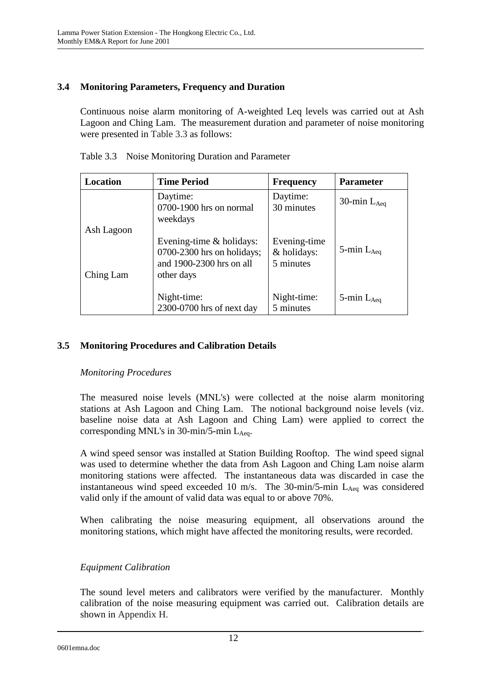### **3.4 Monitoring Parameters, Frequency and Duration**

Continuous noise alarm monitoring of A-weighted Leq levels was carried out at Ash Lagoon and Ching Lam. The measurement duration and parameter of noise monitoring were presented in Table 3.3 as follows:

| Location   | <b>Time Period</b>                                                                                   | <b>Frequency</b>                         | <b>Parameter</b>   |
|------------|------------------------------------------------------------------------------------------------------|------------------------------------------|--------------------|
|            | Daytime:<br>0700-1900 hrs on normal<br>weekdays                                                      | Daytime:<br>30 minutes                   | 30-min $L_{Aeq}$   |
| Ash Lagoon |                                                                                                      |                                          |                    |
| Ching Lam  | Evening-time $&$ holidays:<br>$0700-2300$ hrs on holidays;<br>and 1900-2300 hrs on all<br>other days | Evening-time<br>& holidays:<br>5 minutes | 5-min $L_{Aeq}$    |
|            | Night-time:<br>2300-0700 hrs of next day                                                             | Night-time:<br>5 minutes                 | $5$ -min $L_{Aea}$ |

Table 3.3 Noise Monitoring Duration and Parameter

### **3.5 Monitoring Procedures and Calibration Details**

### *Monitoring Procedures*

The measured noise levels (MNL's) were collected at the noise alarm monitoring stations at Ash Lagoon and Ching Lam. The notional background noise levels (viz. baseline noise data at Ash Lagoon and Ching Lam) were applied to correct the corresponding MNL's in  $30$ -min/5-min L<sub>Aeq</sub>.

A wind speed sensor was installed at Station Building Rooftop. The wind speed signal was used to determine whether the data from Ash Lagoon and Ching Lam noise alarm monitoring stations were affected. The instantaneous data was discarded in case the instantaneous wind speed exceeded 10 m/s. The  $30$ -min/5-min  $L_{Aeq}$  was considered valid only if the amount of valid data was equal to or above 70%.

When calibrating the noise measuring equipment, all observations around the monitoring stations, which might have affected the monitoring results, were recorded.

### *Equipment Calibration*

The sound level meters and calibrators were verified by the manufacturer. Monthly calibration of the noise measuring equipment was carried out. Calibration details are shown in Appendix H.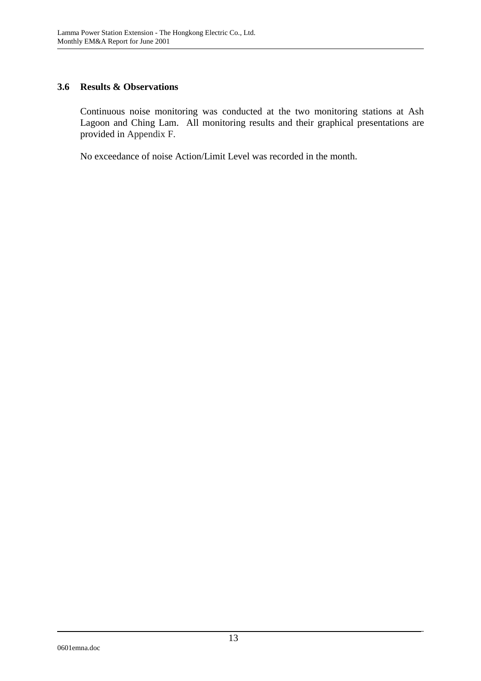### **3.6 Results & Observations**

Continuous noise monitoring was conducted at the two monitoring stations at Ash Lagoon and Ching Lam. All monitoring results and their graphical presentations are provided in Appendix F.

No exceedance of noise Action/Limit Level was recorded in the month.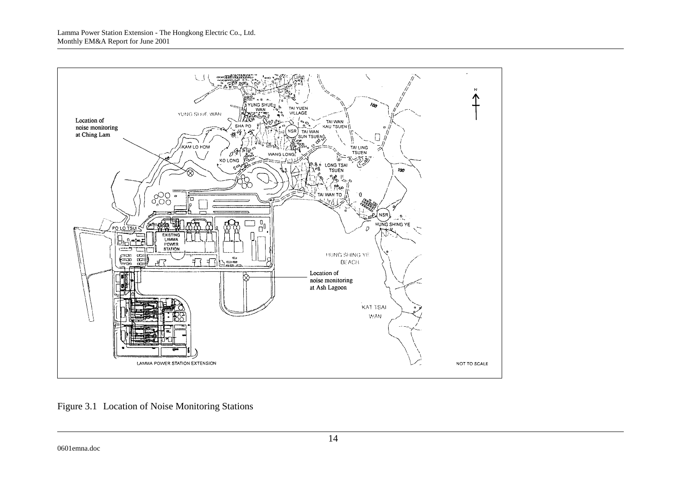

Figure 3.1 Location of Noise Monitoring Stations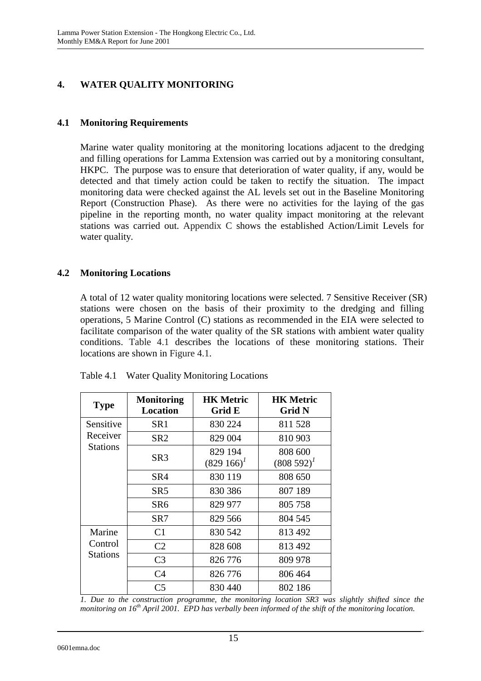# **4. WATER QUALITY MONITORING**

### **4.1 Monitoring Requirements**

Marine water quality monitoring at the monitoring locations adjacent to the dredging and filling operations for Lamma Extension was carried out by a monitoring consultant, HKPC. The purpose was to ensure that deterioration of water quality, if any, would be detected and that timely action could be taken to rectify the situation. The impact monitoring data were checked against the AL levels set out in the Baseline Monitoring Report (Construction Phase). As there were no activities for the laying of the gas pipeline in the reporting month, no water quality impact monitoring at the relevant stations was carried out. Appendix C shows the established Action/Limit Levels for water quality.

### **4.2 Monitoring Locations**

A total of 12 water quality monitoring locations were selected. 7 Sensitive Receiver (SR) stations were chosen on the basis of their proximity to the dredging and filling operations, 5 Marine Control (C) stations as recommended in the EIA were selected to facilitate comparison of the water quality of the SR stations with ambient water quality conditions. Table 4.1 describes the locations of these monitoring stations. Their locations are shown in Figure 4.1.

| <b>Type</b>                | <b>Monitoring</b><br><b>Location</b> | <b>HK Metric</b><br>Grid E  | <b>HK Metric</b><br>Grid N |
|----------------------------|--------------------------------------|-----------------------------|----------------------------|
| Sensitive                  | SR <sub>1</sub>                      | 830 224                     | 811 528                    |
| Receiver                   | SR2                                  | 829 004                     | 810 903                    |
| <b>Stations</b>            | SR <sub>3</sub>                      | 829 194<br>$(829\;166)^{1}$ | 808 600<br>$(808592)^{1}$  |
|                            | SR4                                  | 830 119                     | 808 650                    |
|                            | SR5                                  | 830 386                     | 807 189                    |
|                            | SR <sub>6</sub>                      | 829 977                     | 805 758                    |
|                            | SR7                                  | 829 566                     | 804 545                    |
| Marine                     | C <sub>1</sub>                       | 830 542                     | 813 492                    |
| Control<br><b>Stations</b> | C <sub>2</sub>                       | 828 608                     | 813 492                    |
|                            | C <sub>3</sub>                       | 826 776                     | 809 978                    |
|                            | C <sub>4</sub>                       | 826 776                     | 806 464                    |
|                            | C <sub>5</sub>                       | 830 440                     | 802 186                    |

Table 4.1 Water Quality Monitoring Locations

*1. Due to the construction programme, the monitoring location SR3 was slightly shifted since the monitoring on 16th April 2001. EPD has verbally been informed of the shift of the monitoring location.*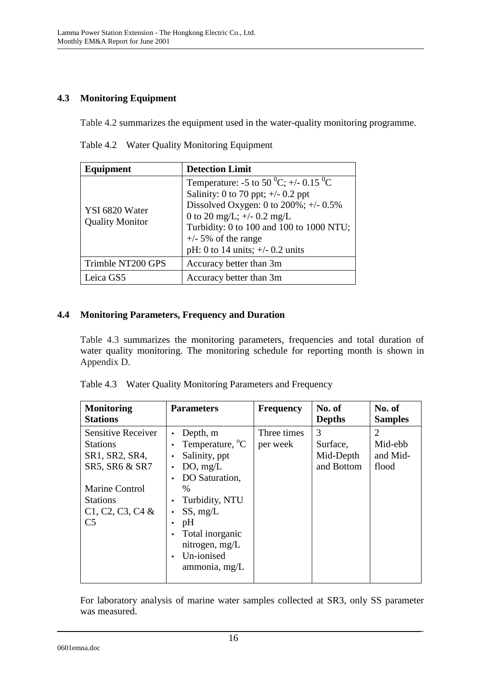# **4.3 Monitoring Equipment**

Table 4.2 summarizes the equipment used in the water-quality monitoring programme.

|  | Table 4.2 Water Quality Monitoring Equipment |  |  |
|--|----------------------------------------------|--|--|
|--|----------------------------------------------|--|--|

| Equipment                                | <b>Detection Limit</b>                                                                                                                                                                                                                                                                           |  |
|------------------------------------------|--------------------------------------------------------------------------------------------------------------------------------------------------------------------------------------------------------------------------------------------------------------------------------------------------|--|
| YSI 6820 Water<br><b>Quality Monitor</b> | Temperature: -5 to 50 <sup>0</sup> C; +/- 0.15 <sup>0</sup> C<br>Salinity: 0 to 70 ppt; $\pm$ /- 0.2 ppt<br>Dissolved Oxygen: 0 to $200\%$ ; +/- 0.5%<br>0 to 20 mg/L; $+/- 0.2$ mg/L<br>Turbidity: 0 to 100 and 100 to 1000 NTU;<br>$+/-$ 5% of the range<br>pH: 0 to 14 units; $+/- 0.2$ units |  |
| Trimble NT200 GPS                        | Accuracy better than 3m                                                                                                                                                                                                                                                                          |  |
| Leica GS5                                | Accuracy better than 3m                                                                                                                                                                                                                                                                          |  |

## **4.4 Monitoring Parameters, Frequency and Duration**

Table 4.3 summarizes the monitoring parameters, frequencies and total duration of water quality monitoring. The monitoring schedule for reporting month is shown in Appendix D.

| Table 4.3 Water Quality Monitoring Parameters and Frequency |
|-------------------------------------------------------------|
|                                                             |

| <b>Monitoring</b>         | <b>Parameters</b>           | <b>Frequency</b> | No. of        | No. of         |
|---------------------------|-----------------------------|------------------|---------------|----------------|
| <b>Stations</b>           |                             |                  | <b>Depths</b> | <b>Samples</b> |
| <b>Sensitive Receiver</b> | Depth, m                    | Three times      | 3             | $\overline{2}$ |
| <b>Stations</b>           | Temperature, <sup>o</sup> C | per week         | Surface,      | Mid-ebb        |
| SR1, SR2, SR4,            | Salinity, ppt<br>$\bullet$  |                  | Mid-Depth     | and Mid-       |
| SR5, SR6 & SR7            | DO, mg/L                    |                  | and Bottom    | flood          |
|                           | DO Saturation,              |                  |               |                |
| <b>Marine Control</b>     | $\%$                        |                  |               |                |
| <b>Stations</b>           | Turbidity, NTU              |                  |               |                |
| C1, C2, C3, C4 &          | SS, mg/L                    |                  |               |                |
| C <sub>5</sub>            | pH                          |                  |               |                |
|                           | Total inorganic             |                  |               |                |
|                           | nitrogen, mg/L              |                  |               |                |
|                           | Un-ionised                  |                  |               |                |
|                           | ammonia, mg/L               |                  |               |                |
|                           |                             |                  |               |                |

For laboratory analysis of marine water samples collected at SR3, only SS parameter was measured.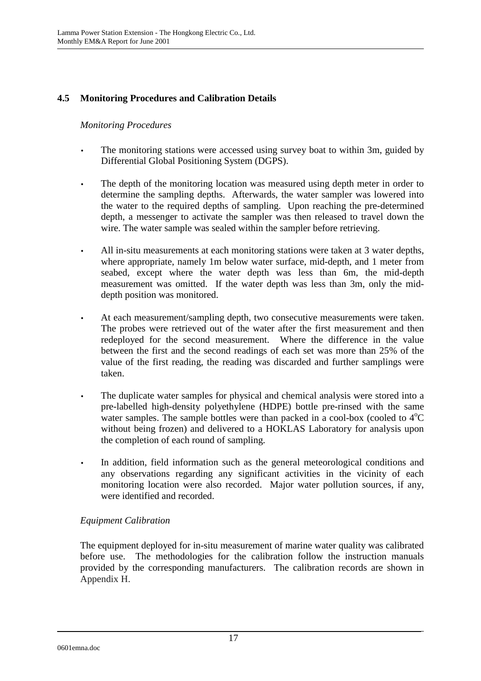### **4.5 Monitoring Procedures and Calibration Details**

### *Monitoring Procedures*

- The monitoring stations were accessed using survey boat to within 3m, guided by Differential Global Positioning System (DGPS).
- The depth of the monitoring location was measured using depth meter in order to determine the sampling depths. Afterwards, the water sampler was lowered into the water to the required depths of sampling. Upon reaching the pre-determined depth, a messenger to activate the sampler was then released to travel down the wire. The water sample was sealed within the sampler before retrieving.
- All in-situ measurements at each monitoring stations were taken at 3 water depths, where appropriate, namely 1m below water surface, mid-depth, and 1 meter from seabed, except where the water depth was less than 6m, the mid-depth measurement was omitted. If the water depth was less than 3m, only the middepth position was monitored.
- At each measurement/sampling depth, two consecutive measurements were taken. The probes were retrieved out of the water after the first measurement and then redeployed for the second measurement. Where the difference in the value between the first and the second readings of each set was more than 25% of the value of the first reading, the reading was discarded and further samplings were taken.
- The duplicate water samples for physical and chemical analysis were stored into a pre-labelled high-density polyethylene (HDPE) bottle pre-rinsed with the same water samples. The sample bottles were than packed in a cool-box (cooled to  $4^{\circ}C$ without being frozen) and delivered to a HOKLAS Laboratory for analysis upon the completion of each round of sampling.
- In addition, field information such as the general meteorological conditions and any observations regarding any significant activities in the vicinity of each monitoring location were also recorded. Major water pollution sources, if any, were identified and recorded.

## *Equipment Calibration*

The equipment deployed for in-situ measurement of marine water quality was calibrated before use. The methodologies for the calibration follow the instruction manuals provided by the corresponding manufacturers. The calibration records are shown in Appendix H.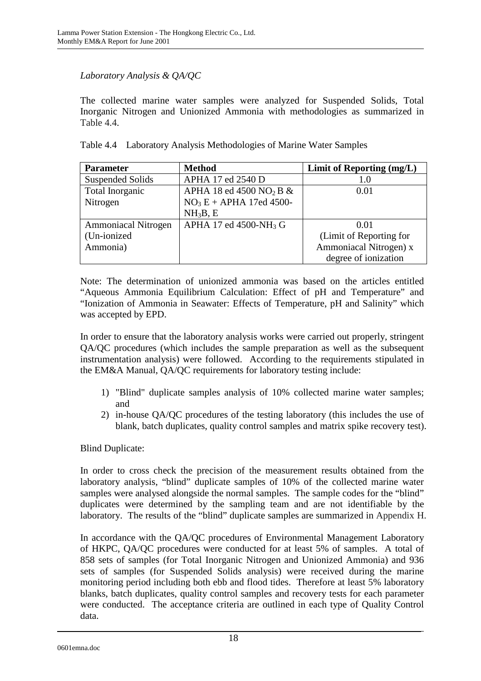### *Laboratory Analysis & QA/QC*

The collected marine water samples were analyzed for Suspended Solids, Total Inorganic Nitrogen and Unionized Ammonia with methodologies as summarized in Table 4.4.

|  |  |  |  |  | Table 4.4 Laboratory Analysis Methodologies of Marine Water Samples |
|--|--|--|--|--|---------------------------------------------------------------------|
|--|--|--|--|--|---------------------------------------------------------------------|

| <b>Parameter</b>           | <b>Method</b>                          | Limit of Reporting (mg/L) |
|----------------------------|----------------------------------------|---------------------------|
| <b>Suspended Solids</b>    | APHA 17 ed 2540 D                      | 1.0                       |
| Total Inorganic            | APHA 18 ed 4500 NO <sub>2</sub> B $\&$ | 0.01                      |
| Nitrogen                   | $NO3E + APHA$ 17ed 4500-               |                           |
|                            | NH <sub>3</sub> B, E                   |                           |
| <b>Ammoniacal Nitrogen</b> | APHA 17 ed 4500-NH <sub>3</sub> G      | 0.01                      |
| (Un-ionized)               |                                        | (Limit of Reporting for   |
| Ammonia)                   |                                        | Ammoniacal Nitrogen) x    |
|                            |                                        | degree of ionization      |

Note: The determination of unionized ammonia was based on the articles entitled "Aqueous Ammonia Equilibrium Calculation: Effect of pH and Temperature" and "Ionization of Ammonia in Seawater: Effects of Temperature, pH and Salinity" which was accepted by EPD.

In order to ensure that the laboratory analysis works were carried out properly, stringent QA/QC procedures (which includes the sample preparation as well as the subsequent instrumentation analysis) were followed. According to the requirements stipulated in the EM&A Manual, QA/QC requirements for laboratory testing include:

- 1) "Blind" duplicate samples analysis of 10% collected marine water samples; and
- 2) in-house QA/QC procedures of the testing laboratory (this includes the use of blank, batch duplicates, quality control samples and matrix spike recovery test).

Blind Duplicate:

In order to cross check the precision of the measurement results obtained from the laboratory analysis, "blind" duplicate samples of 10% of the collected marine water samples were analysed alongside the normal samples. The sample codes for the "blind" duplicates were determined by the sampling team and are not identifiable by the laboratory. The results of the "blind" duplicate samples are summarized in Appendix H.

In accordance with the QA/QC procedures of Environmental Management Laboratory of HKPC, QA/QC procedures were conducted for at least 5% of samples. A total of 858 sets of samples (for Total Inorganic Nitrogen and Unionized Ammonia) and 936 sets of samples (for Suspended Solids analysis) were received during the marine monitoring period including both ebb and flood tides. Therefore at least 5% laboratory blanks, batch duplicates, quality control samples and recovery tests for each parameter were conducted. The acceptance criteria are outlined in each type of Quality Control data.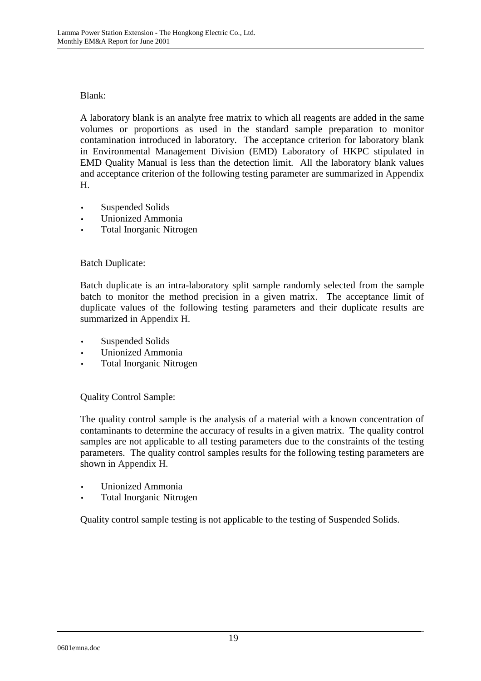### Blank:

A laboratory blank is an analyte free matrix to which all reagents are added in the same volumes or proportions as used in the standard sample preparation to monitor contamination introduced in laboratory. The acceptance criterion for laboratory blank in Environmental Management Division (EMD) Laboratory of HKPC stipulated in EMD Quality Manual is less than the detection limit. All the laboratory blank values and acceptance criterion of the following testing parameter are summarized in Appendix H.

- Suspended Solids
- Unionized Ammonia
- Total Inorganic Nitrogen

### Batch Duplicate:

Batch duplicate is an intra-laboratory split sample randomly selected from the sample batch to monitor the method precision in a given matrix. The acceptance limit of duplicate values of the following testing parameters and their duplicate results are summarized in Appendix H.

- Suspended Solids
- Unionized Ammonia
- Total Inorganic Nitrogen

Quality Control Sample:

The quality control sample is the analysis of a material with a known concentration of contaminants to determine the accuracy of results in a given matrix. The quality control samples are not applicable to all testing parameters due to the constraints of the testing parameters. The quality control samples results for the following testing parameters are shown in Appendix H.

- Unionized Ammonia
- Total Inorganic Nitrogen

Quality control sample testing is not applicable to the testing of Suspended Solids.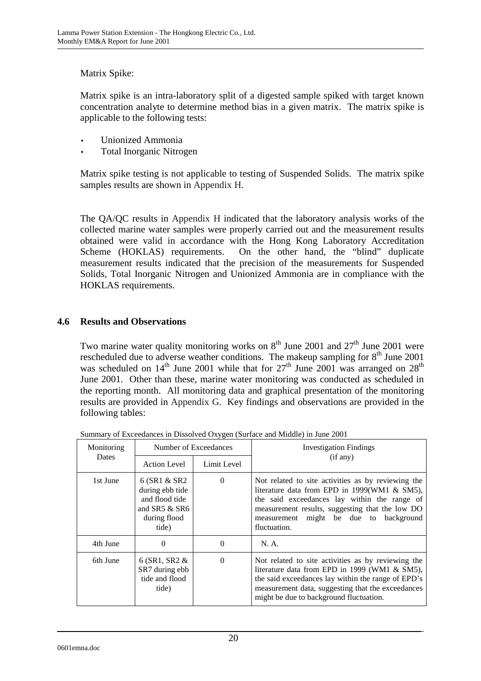### Matrix Spike:

Matrix spike is an intra-laboratory split of a digested sample spiked with target known concentration analyte to determine method bias in a given matrix. The matrix spike is applicable to the following tests:

- Unionized Ammonia
- Total Inorganic Nitrogen

Matrix spike testing is not applicable to testing of Suspended Solids. The matrix spike samples results are shown in Appendix H.

The QA/QC results in Appendix H indicated that the laboratory analysis works of the collected marine water samples were properly carried out and the measurement results obtained were valid in accordance with the Hong Kong Laboratory Accreditation Scheme (HOKLAS) requirements. On the other hand, the "blind" duplicate measurement results indicated that the precision of the measurements for Suspended Solids, Total Inorganic Nitrogen and Unionized Ammonia are in compliance with the HOKLAS requirements.

### **4.6 Results and Observations**

Two marine water quality monitoring works on  $8<sup>th</sup>$  June 2001 and  $27<sup>th</sup>$  June 2001 were rescheduled due to adverse weather conditions. The makeup sampling for  $8<sup>th</sup>$  June 2001 was scheduled on  $14<sup>th</sup>$  June 2001 while that for  $27<sup>th</sup>$  June 2001 was arranged on  $28<sup>th</sup>$ June 2001. Other than these, marine water monitoring was conducted as scheduled in the reporting month. All monitoring data and graphical presentation of the monitoring results are provided in Appendix G. Key findings and observations are provided in the following tables:

| Monitoring | Number of Exceedances                                                                          |             | <b>Investigation Findings</b>                                                                                                                                                                                                                                   |  |
|------------|------------------------------------------------------------------------------------------------|-------------|-----------------------------------------------------------------------------------------------------------------------------------------------------------------------------------------------------------------------------------------------------------------|--|
| Dates      | <b>Action Level</b>                                                                            | Limit Level | (if any)                                                                                                                                                                                                                                                        |  |
| 1st June   | 6 (SR1 & SR2)<br>during ebb tide<br>and flood tide<br>and $SR5 & SR6$<br>during flood<br>tide) | $\theta$    | Not related to site activities as by reviewing the<br>literature data from EPD in 1999(WM1 & SM5),<br>the said exceedances lay within the range of<br>measurement results, suggesting that the low DO<br>measurement might be due to background<br>fluctuation. |  |
| 4th June   | $\Omega$                                                                                       | $\Omega$    | N. A.                                                                                                                                                                                                                                                           |  |
| 6th June   | 6 (SR1, SR2 $&$<br>SR7 during ebb<br>tide and flood<br>tide)                                   | $\Omega$    | Not related to site activities as by reviewing the<br>literature data from EPD in 1999 (WM1 & SM5),<br>the said exceedances lay within the range of EPD's<br>measurement data, suggesting that the exceedances<br>might be due to background fluctuation.       |  |

Summary of Exceedances in Dissolved Oxygen (Surface and Middle) in June 2001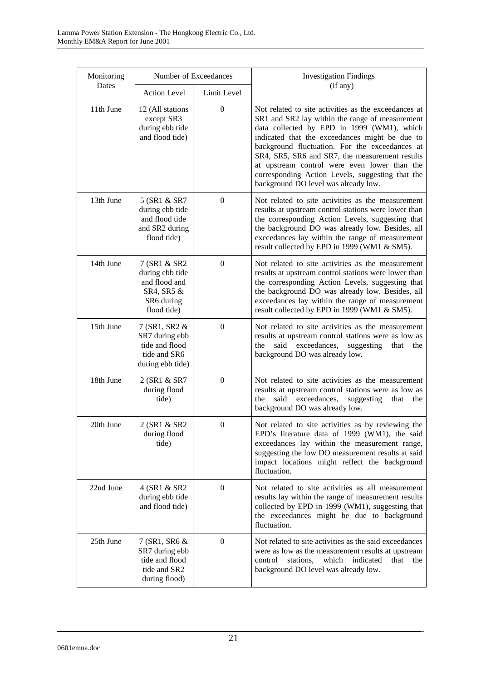| Monitoring | Number of Exceedances                                                                       |                  | <b>Investigation Findings</b>                                                                                                                                                                                                                                                                                                                                                                                                                           |  |
|------------|---------------------------------------------------------------------------------------------|------------------|---------------------------------------------------------------------------------------------------------------------------------------------------------------------------------------------------------------------------------------------------------------------------------------------------------------------------------------------------------------------------------------------------------------------------------------------------------|--|
| Dates      | <b>Action Level</b>                                                                         | Limit Level      | (if any)                                                                                                                                                                                                                                                                                                                                                                                                                                                |  |
| 11th June  | 12 (All stations<br>except SR3<br>during ebb tide<br>and flood tide)                        | $\mathbf{0}$     | Not related to site activities as the exceedances at<br>SR1 and SR2 lay within the range of measurement<br>data collected by EPD in 1999 (WM1), which<br>indicated that the exceedances might be due to<br>background fluctuation. For the exceedances at<br>SR4, SR5, SR6 and SR7, the measurement results<br>at upstream control were even lower than the<br>corresponding Action Levels, suggesting that the<br>background DO level was already low. |  |
| 13th June  | 5 (SR1 & SR7<br>during ebb tide<br>and flood tide<br>and SR2 during<br>flood tide)          | $\boldsymbol{0}$ | Not related to site activities as the measurement<br>results at upstream control stations were lower than<br>the corresponding Action Levels, suggesting that<br>the background DO was already low. Besides, all<br>exceedances lay within the range of measurement<br>result collected by EPD in 1999 (WM1 & SM5).                                                                                                                                     |  |
| 14th June  | 7 (SR1 & SR2<br>during ebb tide<br>and flood and<br>SR4, SR5 &<br>SR6 during<br>flood tide) | $\boldsymbol{0}$ | Not related to site activities as the measurement<br>results at upstream control stations were lower than<br>the corresponding Action Levels, suggesting that<br>the background DO was already low. Besides, all<br>exceedances lay within the range of measurement<br>result collected by EPD in 1999 (WM1 & SM5).                                                                                                                                     |  |
| 15th June  | 7 (SR1, SR2 &<br>SR7 during ebb<br>tide and flood<br>tide and SR6<br>during ebb tide)       | $\boldsymbol{0}$ | Not related to site activities as the measurement<br>results at upstream control stations were as low as<br>said exceedances,<br>suggesting<br>the<br>that<br>the<br>background DO was already low.                                                                                                                                                                                                                                                     |  |
| 18th June  | 2 (SR1 & SR7<br>during flood<br>tide)                                                       | $\boldsymbol{0}$ | Not related to site activities as the measurement<br>results at upstream control stations were as low as<br>said exceedances,<br>the<br>suggesting<br>that<br>the<br>background DO was already low.                                                                                                                                                                                                                                                     |  |
| 20th June  | 2 (SR1 & SR2<br>during flood<br>tide)                                                       | $\theta$         | Not related to site activities as by reviewing the<br>EPD's literature data of 1999 (WM1), the said<br>exceedances lay within the measurement range,<br>suggesting the low DO measurement results at said<br>impact locations might reflect the background<br>fluctuation.                                                                                                                                                                              |  |
| 22nd June  | 4 (SR1 & SR2)<br>during ebb tide<br>and flood tide)                                         | $\mathbf{0}$     | Not related to site activities as all measurement<br>results lay within the range of measurement results<br>collected by EPD in 1999 (WM1), suggesting that<br>the exceedances might be due to background<br>fluctuation.                                                                                                                                                                                                                               |  |
| 25th June  | 7 (SR1, SR6 &<br>SR7 during ebb<br>tide and flood<br>tide and SR2<br>during flood)          | $\boldsymbol{0}$ | Not related to site activities as the said exceedances<br>were as low as the measurement results at upstream<br>stations,<br>which<br>indicated<br>control<br>that<br>the<br>background DO level was already low.                                                                                                                                                                                                                                       |  |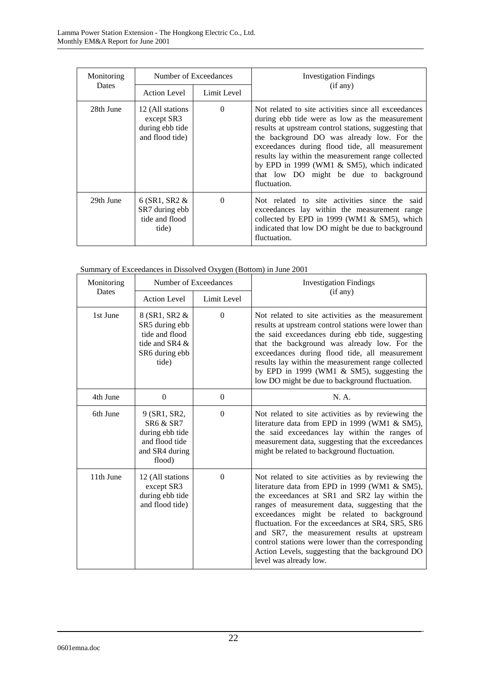| Monitoring | Number of Exceedances                                                 |             | <b>Investigation Findings</b>                                                                                                                                                                                                                                                                                                                                                                                                  |  |
|------------|-----------------------------------------------------------------------|-------------|--------------------------------------------------------------------------------------------------------------------------------------------------------------------------------------------------------------------------------------------------------------------------------------------------------------------------------------------------------------------------------------------------------------------------------|--|
| Dates      | <b>Action Level</b>                                                   | Limit Level | (if any)                                                                                                                                                                                                                                                                                                                                                                                                                       |  |
| 28th June  | 12 (All stations)<br>except SR3<br>during ebb tide<br>and flood tide) | $\Omega$    | Not related to site activities since all exceedances<br>during ebb tide were as low as the measurement<br>results at upstream control stations, suggesting that<br>the background DO was already low. For the<br>exceedances during flood tide, all measurement<br>results lay within the measurement range collected<br>by EPD in 1999 (WM1 & SM5), which indicated<br>that low DO might be due to background<br>fluctuation. |  |
| 29th June  | $6$ (SR1, SR2 $\&$<br>SR7 during ebb<br>tide and flood<br>tide)       | $\Omega$    | Not related to site activities since the said<br>exceedances lay within the measurement range<br>collected by EPD in 1999 (WM1 & SM5), which<br>indicated that low DO might be due to background<br>fluctuation.                                                                                                                                                                                                               |  |

|  |  |  | Summary of Exceedances in Dissolved Oxygen (Bottom) in June 2001 |
|--|--|--|------------------------------------------------------------------|

| Monitoring | Number of Exceedances                                                                          |              | <b>Investigation Findings</b>                                                                                                                                                                                                                                                                                                                                                                                                                                                                  |
|------------|------------------------------------------------------------------------------------------------|--------------|------------------------------------------------------------------------------------------------------------------------------------------------------------------------------------------------------------------------------------------------------------------------------------------------------------------------------------------------------------------------------------------------------------------------------------------------------------------------------------------------|
| Dates      | <b>Action Level</b><br>Limit Level                                                             |              | (if any)                                                                                                                                                                                                                                                                                                                                                                                                                                                                                       |
| 1st June   | 8 (SR1, SR2 &<br>SR5 during ebb<br>tide and flood<br>tide and SR4 &<br>SR6 during ebb<br>tide) | $\mathbf{0}$ | Not related to site activities as the measurement<br>results at upstream control stations were lower than<br>the said exceedances during ebb tide, suggesting<br>that the background was already low. For the<br>exceedances during flood tide, all measurement<br>results lay within the measurement range collected<br>by EPD in 1999 (WM1 $\&$ SM5), suggesting the<br>low DO might be due to background fluctuation.                                                                       |
| 4th June   | $\Omega$                                                                                       | $\Omega$     | N. A.                                                                                                                                                                                                                                                                                                                                                                                                                                                                                          |
| 6th June   | 9 (SR1, SR2,<br>SR6 & SR7<br>during ebb tide<br>and flood tide<br>and SR4 during<br>flood)     | $\Omega$     | Not related to site activities as by reviewing the<br>literature data from EPD in 1999 (WM1 & SM5),<br>the said exceedances lay within the ranges of<br>measurement data, suggesting that the exceedances<br>might be related to background fluctuation.                                                                                                                                                                                                                                       |
| 11th June  | 12 (All stations<br>except SR3<br>during ebb tide<br>and flood tide)                           | $\mathbf{0}$ | Not related to site activities as by reviewing the<br>literature data from EPD in 1999 (WM1 & SM5),<br>the exceedances at SR1 and SR2 lay within the<br>ranges of measurement data, suggesting that the<br>exceedances might be related to background<br>fluctuation. For the exceedances at SR4, SR5, SR6<br>and SR7, the measurement results at upstream<br>control stations were lower than the corresponding<br>Action Levels, suggesting that the background DO<br>level was already low. |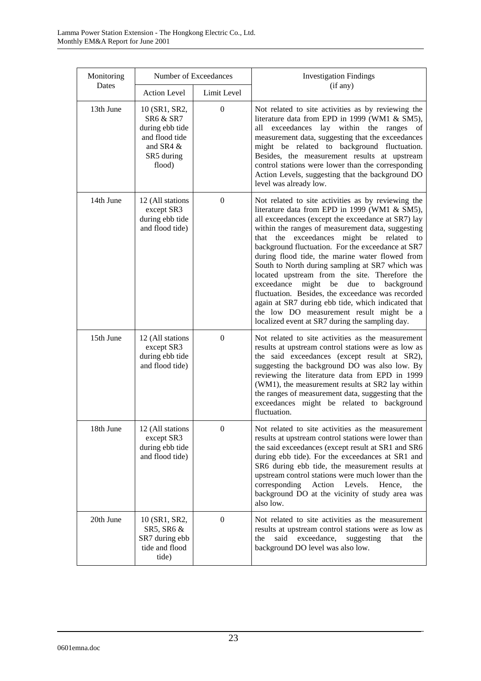| Monitoring | Number of Exceedances                                                                                           |                  | <b>Investigation Findings</b>                                                                                                                                                                                                                                                                                                                                                                                                                                                                                                                                                                                                                                                                                                      |
|------------|-----------------------------------------------------------------------------------------------------------------|------------------|------------------------------------------------------------------------------------------------------------------------------------------------------------------------------------------------------------------------------------------------------------------------------------------------------------------------------------------------------------------------------------------------------------------------------------------------------------------------------------------------------------------------------------------------------------------------------------------------------------------------------------------------------------------------------------------------------------------------------------|
| Dates      | <b>Action Level</b>                                                                                             | Limit Level      | (if any)                                                                                                                                                                                                                                                                                                                                                                                                                                                                                                                                                                                                                                                                                                                           |
| 13th June  | 10 (SR1, SR2,<br><b>SR6 &amp; SR7</b><br>during ebb tide<br>and flood tide<br>and SR4 &<br>SR5 during<br>flood) | $\boldsymbol{0}$ | Not related to site activities as by reviewing the<br>literature data from EPD in 1999 (WM1 & SM5),<br>all exceedances lay within the ranges of<br>measurement data, suggesting that the exceedances<br>might be related to background fluctuation.<br>Besides, the measurement results at upstream<br>control stations were lower than the corresponding<br>Action Levels, suggesting that the background DO<br>level was already low.                                                                                                                                                                                                                                                                                            |
| 14th June  | 12 (All stations<br>except SR3<br>during ebb tide<br>and flood tide)                                            | $\mathbf{0}$     | Not related to site activities as by reviewing the<br>literature data from EPD in 1999 (WM1 & SM5),<br>all exceedances (except the exceedance at SR7) lay<br>within the ranges of measurement data, suggesting<br>that the exceedances might be related to<br>background fluctuation. For the exceedance at SR7<br>during flood tide, the marine water flowed from<br>South to North during sampling at SR7 which was<br>located upstream from the site. Therefore the<br>exceedance<br>might be<br>due to<br>background<br>fluctuation. Besides, the exceedance was recorded<br>again at SR7 during ebb tide, which indicated that<br>the low DO measurement result might be a<br>localized event at SR7 during the sampling day. |
| 15th June  | 12 (All stations<br>except SR3<br>during ebb tide<br>and flood tide)                                            | $\mathbf{0}$     | Not related to site activities as the measurement<br>results at upstream control stations were as low as<br>the said exceedances (except result at SR2),<br>suggesting the background DO was also low. By<br>reviewing the literature data from EPD in 1999<br>(WM1), the measurement results at SR2 lay within<br>the ranges of measurement data, suggesting that the<br>exceedances might be related to background<br>fluctuation.                                                                                                                                                                                                                                                                                               |
| 18th June  | 12 (All stations<br>except SR3<br>during ebb tide<br>and flood tide)                                            | $\boldsymbol{0}$ | Not related to site activities as the measurement<br>results at upstream control stations were lower than<br>the said exceedances (except result at SR1 and SR6<br>during ebb tide). For the exceedances at SR1 and<br>SR6 during ebb tide, the measurement results at<br>upstream control stations were much lower than the<br>corresponding<br>Action Levels.<br>Hence,<br>the<br>background DO at the vicinity of study area was<br>also low.                                                                                                                                                                                                                                                                                   |
| 20th June  | 10 (SR1, SR2,<br>SR5, SR6 &<br>SR7 during ebb<br>tide and flood<br>tide)                                        | $\mathbf{0}$     | Not related to site activities as the measurement<br>results at upstream control stations were as low as<br>said<br>exceedance,<br>the<br>suggesting<br>that<br>the<br>background DO level was also low.                                                                                                                                                                                                                                                                                                                                                                                                                                                                                                                           |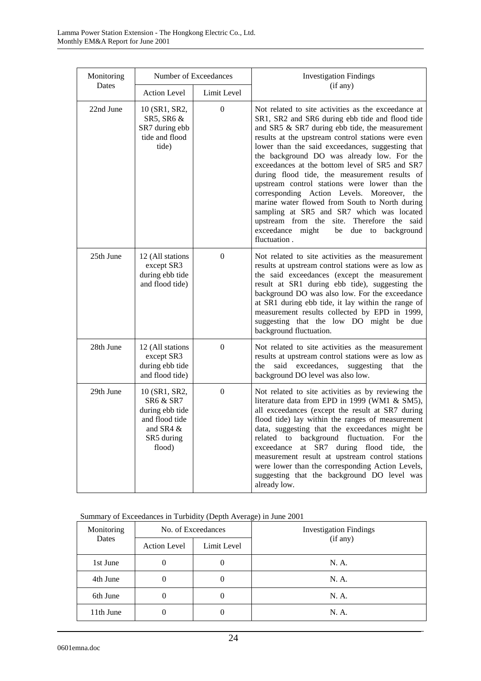| Monitoring | Number of Exceedances                                                                                |                  | <b>Investigation Findings</b>                                                                                                                                                                                                                                                                                                                                                                                                                                                                                                                                                                                                                                                                                                  |
|------------|------------------------------------------------------------------------------------------------------|------------------|--------------------------------------------------------------------------------------------------------------------------------------------------------------------------------------------------------------------------------------------------------------------------------------------------------------------------------------------------------------------------------------------------------------------------------------------------------------------------------------------------------------------------------------------------------------------------------------------------------------------------------------------------------------------------------------------------------------------------------|
| Dates      | <b>Action Level</b>                                                                                  | Limit Level      | (if any)                                                                                                                                                                                                                                                                                                                                                                                                                                                                                                                                                                                                                                                                                                                       |
| 22nd June  | 10 (SR1, SR2,<br>SR5, SR6 &<br>SR7 during ebb<br>tide and flood<br>tide)                             | $\boldsymbol{0}$ | Not related to site activities as the exceedance at<br>SR1, SR2 and SR6 during ebb tide and flood tide<br>and SR5 & SR7 during ebb tide, the measurement<br>results at the upstream control stations were even<br>lower than the said exceedances, suggesting that<br>the background DO was already low. For the<br>exceedances at the bottom level of SR5 and SR7<br>during flood tide, the measurement results of<br>upstream control stations were lower than the<br>corresponding Action Levels. Moreover,<br>the<br>marine water flowed from South to North during<br>sampling at SR5 and SR7 which was located<br>upstream from the site. Therefore the said<br>exceedance might<br>be due to background<br>fluctuation. |
| 25th June  | 12 (All stations<br>except SR3<br>during ebb tide<br>and flood tide)                                 | $\overline{0}$   | Not related to site activities as the measurement<br>results at upstream control stations were as low as<br>the said exceedances (except the measurement<br>result at SR1 during ebb tide), suggesting the<br>background DO was also low. For the exceedance<br>at SR1 during ebb tide, it lay within the range of<br>measurement results collected by EPD in 1999,<br>suggesting that the low DO might be due<br>background fluctuation.                                                                                                                                                                                                                                                                                      |
| 28th June  | 12 (All stations<br>except SR3<br>during ebb tide<br>and flood tide)                                 | $\overline{0}$   | Not related to site activities as the measurement<br>results at upstream control stations were as low as<br>said exceedances, suggesting<br>the<br>that<br>the<br>background DO level was also low.                                                                                                                                                                                                                                                                                                                                                                                                                                                                                                                            |
| 29th June  | 10 (SR1, SR2,<br>SR6 & SR7<br>during ebb tide<br>and flood tide<br>and SR4 &<br>SR5 during<br>flood) | $\overline{0}$   | Not related to site activities as by reviewing the<br>literature data from EPD in 1999 (WM1 & SM5),<br>all exceedances (except the result at SR7 during<br>flood tide) lay within the ranges of measurement<br>data, suggesting that the exceedances might be<br>related to background fluctuation.<br>For<br>the<br>exceedance<br>at SR7 during flood<br>tide,<br>the<br>measurement result at upstream control stations<br>were lower than the corresponding Action Levels,<br>suggesting that the background DO level was<br>already low.                                                                                                                                                                                   |

#### Summary of Exceedances in Turbidity (Depth Average) in June 2001

| Monitoring<br>Dates | No. of Exceedances  |             | <b>Investigation Findings</b> |
|---------------------|---------------------|-------------|-------------------------------|
|                     | <b>Action Level</b> | Limit Level | (if any)                      |
| 1st June            | $\theta$            |             | N. A.                         |
| 4th June            |                     |             | N. A.                         |
| 6th June            | O                   |             | N. A.                         |
| 11th June           |                     |             | N. A.                         |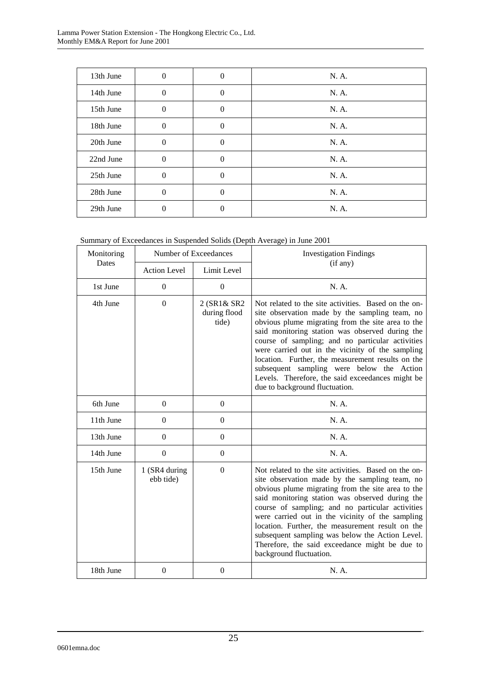| 13th June | $\mathbf{0}$ | $\theta$       | N. A. |
|-----------|--------------|----------------|-------|
| 14th June | $\mathbf{0}$ | $\overline{0}$ | N. A. |
| 15th June | $\mathbf{0}$ | $\theta$       | N. A. |
| 18th June | $\mathbf{0}$ | $\theta$       | N. A. |
| 20th June | $\mathbf{0}$ | $\theta$       | N. A. |
| 22nd June | $\mathbf{0}$ | $\theta$       | N. A. |
| 25th June | $\mathbf{0}$ | $\theta$       | N. A. |
| 28th June | $\mathbf{0}$ | $\theta$       | N. A. |
| 29th June | 0            | 0              | N. A. |

|  | Summary of Exceedances in Suspended Solids (Depth Average) in June 2001 |
|--|-------------------------------------------------------------------------|
|  |                                                                         |

| Monitoring |                                    | Number of Exceedances                | <b>Investigation Findings</b>                                                                                                                                                                                                                                                                                                                                                                                                                                                                                  |
|------------|------------------------------------|--------------------------------------|----------------------------------------------------------------------------------------------------------------------------------------------------------------------------------------------------------------------------------------------------------------------------------------------------------------------------------------------------------------------------------------------------------------------------------------------------------------------------------------------------------------|
| Dates      | <b>Action Level</b><br>Limit Level |                                      | (if any)                                                                                                                                                                                                                                                                                                                                                                                                                                                                                                       |
| 1st June   | $\boldsymbol{0}$                   | $\overline{0}$                       | N. A.                                                                                                                                                                                                                                                                                                                                                                                                                                                                                                          |
| 4th June   | $\overline{0}$                     | 2 (SR1& SR2<br>during flood<br>tide) | Not related to the site activities. Based on the on-<br>site observation made by the sampling team, no<br>obvious plume migrating from the site area to the<br>said monitoring station was observed during the<br>course of sampling; and no particular activities<br>were carried out in the vicinity of the sampling<br>location. Further, the measurement results on the<br>subsequent sampling were below the Action<br>Levels. Therefore, the said exceedances might be<br>due to background fluctuation. |
| 6th June   | $\Omega$                           | $\overline{0}$                       | N. A.                                                                                                                                                                                                                                                                                                                                                                                                                                                                                                          |
| 11th June  | $\Omega$                           | $\overline{0}$                       | N. A.                                                                                                                                                                                                                                                                                                                                                                                                                                                                                                          |
| 13th June  | $\boldsymbol{0}$                   | $\boldsymbol{0}$                     | N. A.                                                                                                                                                                                                                                                                                                                                                                                                                                                                                                          |
| 14th June  | $\Omega$                           | $\Omega$                             | N. A.                                                                                                                                                                                                                                                                                                                                                                                                                                                                                                          |
| 15th June  | 1 (SR4 during<br>ebb tide)         | $\boldsymbol{0}$                     | Not related to the site activities. Based on the on-<br>site observation made by the sampling team, no<br>obvious plume migrating from the site area to the<br>said monitoring station was observed during the<br>course of sampling; and no particular activities<br>were carried out in the vicinity of the sampling<br>location. Further, the measurement result on the<br>subsequent sampling was below the Action Level.<br>Therefore, the said exceedance might be due to<br>background fluctuation.     |
| 18th June  | $\boldsymbol{0}$                   | $\boldsymbol{0}$                     | N. A.                                                                                                                                                                                                                                                                                                                                                                                                                                                                                                          |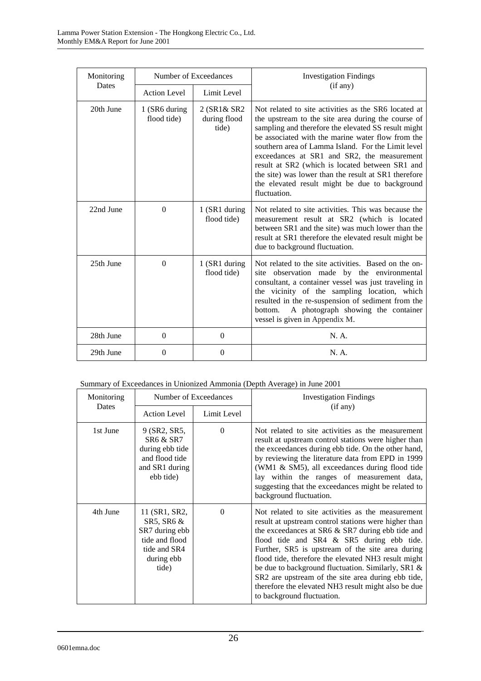| Monitoring |                                    | Number of Exceedances                | <b>Investigation Findings</b>                                                                                                                                                                                                                                                                                                                                                                                                                                                                            |
|------------|------------------------------------|--------------------------------------|----------------------------------------------------------------------------------------------------------------------------------------------------------------------------------------------------------------------------------------------------------------------------------------------------------------------------------------------------------------------------------------------------------------------------------------------------------------------------------------------------------|
| Dates      | <b>Action Level</b><br>Limit Level |                                      | (if any)                                                                                                                                                                                                                                                                                                                                                                                                                                                                                                 |
| 20th June  | 1 (SR6 during)<br>flood tide)      | 2 (SR1& SR2<br>during flood<br>tide) | Not related to site activities as the SR6 located at<br>the upstream to the site area during the course of<br>sampling and therefore the elevated SS result might<br>be associated with the marine water flow from the<br>southern area of Lamma Island. For the Limit level<br>exceedances at SR1 and SR2, the measurement<br>result at SR2 (which is located between SR1 and<br>the site) was lower than the result at SR1 therefore<br>the elevated result might be due to background<br>fluctuation. |
| 22nd June  | $\Omega$                           | 1 (SR1 during<br>flood tide)         | Not related to site activities. This was because the<br>measurement result at SR2 (which is located<br>between SR1 and the site) was much lower than the<br>result at SR1 therefore the elevated result might be<br>due to background fluctuation.                                                                                                                                                                                                                                                       |
| 25th June  | $\Omega$                           | 1 (SR1 during<br>flood tide)         | Not related to the site activities. Based on the on-<br>site observation made by the environmental<br>consultant, a container vessel was just traveling in<br>the vicinity of the sampling location, which<br>resulted in the re-suspension of sediment from the<br>A photograph showing the container<br>bottom.<br>vessel is given in Appendix M.                                                                                                                                                      |
| 28th June  | $\Omega$                           | $\Omega$                             | N. A.                                                                                                                                                                                                                                                                                                                                                                                                                                                                                                    |
| 29th June  | $\Omega$                           | $\theta$                             | N. A.                                                                                                                                                                                                                                                                                                                                                                                                                                                                                                    |

| Summary of Exceedances in Unionized Ammonia (Depth Average) in June 2001 |  |  |  |
|--------------------------------------------------------------------------|--|--|--|
|                                                                          |  |  |  |

| Monitoring<br>Dates | Number of Exceedances                                                                                    |             | <b>Investigation Findings</b>                                                                                                                                                                                                                                                                                                                                                                                                                                                                                          |
|---------------------|----------------------------------------------------------------------------------------------------------|-------------|------------------------------------------------------------------------------------------------------------------------------------------------------------------------------------------------------------------------------------------------------------------------------------------------------------------------------------------------------------------------------------------------------------------------------------------------------------------------------------------------------------------------|
|                     | <b>Action Level</b>                                                                                      | Limit Level | (if any)                                                                                                                                                                                                                                                                                                                                                                                                                                                                                                               |
| 1st June            | 9 (SR2, SR5,<br><b>SR6 &amp; SR7</b><br>during ebb tide<br>and flood tide<br>and SR1 during<br>ebb tide) | $\Omega$    | Not related to site activities as the measurement<br>result at upstream control stations were higher than<br>the exceedances during ebb tide. On the other hand,<br>by reviewing the literature data from EPD in 1999<br>(WM1 & SM5), all exceedances during flood tide<br>lay within the ranges of measurement data,<br>suggesting that the exceedances might be related to<br>background fluctuation.                                                                                                                |
| 4th June            | 11 (SR1, SR2,<br>SR5, SR6 &<br>SR7 during ebb<br>tide and flood<br>tide and SR4<br>during ebb<br>tide)   | $\Omega$    | Not related to site activities as the measurement<br>result at upstream control stations were higher than<br>the exceedances at SR6 & SR7 during ebb tide and<br>flood tide and SR4 & SR5 during ebb tide.<br>Further, SR5 is upstream of the site area during<br>flood tide, therefore the elevated NH3 result might<br>be due to background fluctuation. Similarly, SR1 &<br>SR2 are upstream of the site area during ebb tide,<br>therefore the elevated NH3 result might also be due<br>to background fluctuation. |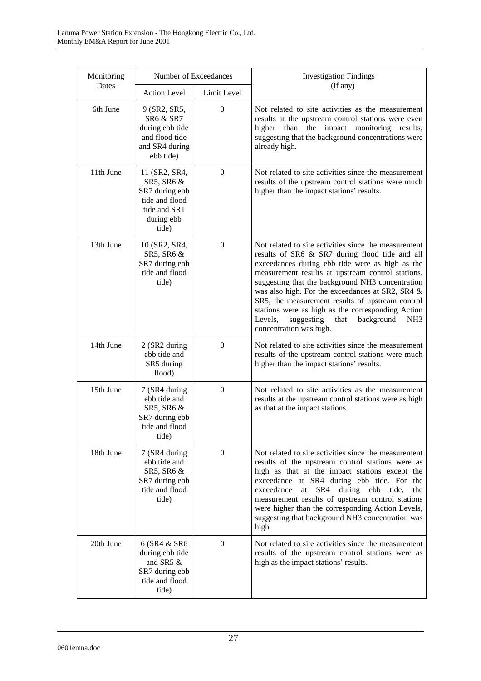| Monitoring | Number of Exceedances                                                                                    |                  | <b>Investigation Findings</b>                                                                                                                                                                                                                                                                                                                                                                                                                                                                                                |
|------------|----------------------------------------------------------------------------------------------------------|------------------|------------------------------------------------------------------------------------------------------------------------------------------------------------------------------------------------------------------------------------------------------------------------------------------------------------------------------------------------------------------------------------------------------------------------------------------------------------------------------------------------------------------------------|
| Dates      | <b>Action Level</b>                                                                                      | Limit Level      | (if any)                                                                                                                                                                                                                                                                                                                                                                                                                                                                                                                     |
| 6th June   | 9 (SR2, SR5,<br><b>SR6 &amp; SR7</b><br>during ebb tide<br>and flood tide<br>and SR4 during<br>ebb tide) | $\theta$         | Not related to site activities as the measurement<br>results at the upstream control stations were even<br>higher than the impact monitoring results,<br>suggesting that the background concentrations were<br>already high.                                                                                                                                                                                                                                                                                                 |
| 11th June  | 11 (SR2, SR4,<br>SR5, SR6 &<br>SR7 during ebb<br>tide and flood<br>tide and SR1<br>during ebb<br>tide)   | $\overline{0}$   | Not related to site activities since the measurement<br>results of the upstream control stations were much<br>higher than the impact stations' results.                                                                                                                                                                                                                                                                                                                                                                      |
| 13th June  | 10 (SR2, SR4,<br>SR5, SR6 &<br>SR7 during ebb<br>tide and flood<br>tide)                                 | $\boldsymbol{0}$ | Not related to site activities since the measurement<br>results of SR6 & SR7 during flood tide and all<br>exceedances during ebb tide were as high as the<br>measurement results at upstream control stations,<br>suggesting that the background NH3 concentration<br>was also high. For the exceedances at SR2, SR4 &<br>SR5, the measurement results of upstream control<br>stations were as high as the corresponding Action<br>Levels,<br>suggesting<br>that<br>background<br>NH <sub>3</sub><br>concentration was high. |
| 14th June  | 2 (SR2 during<br>ebb tide and<br>SR5 during<br>flood)                                                    | $\theta$         | Not related to site activities since the measurement<br>results of the upstream control stations were much<br>higher than the impact stations' results.                                                                                                                                                                                                                                                                                                                                                                      |
| 15th June  | 7 (SR4 during<br>ebb tide and<br>SR5, SR6 &<br>SR7 during ebb<br>tide and flood<br>tide)                 | $\boldsymbol{0}$ | Not related to site activities as the measurement<br>results at the upstream control stations were as high<br>as that at the impact stations.                                                                                                                                                                                                                                                                                                                                                                                |
| 18th June  | 7 (SR4 during<br>ebb tide and<br>SR5, SR6 &<br>SR7 during ebb<br>tide and flood<br>tide)                 | $\boldsymbol{0}$ | Not related to site activities since the measurement<br>results of the upstream control stations were as<br>high as that at the impact stations except the<br>exceedance at SR4 during ebb tide. For the<br>SR4<br>exceedance<br>during<br>ebb<br>at<br>tide.<br>the<br>measurement results of upstream control stations<br>were higher than the corresponding Action Levels,<br>suggesting that background NH3 concentration was<br>high.                                                                                   |
| 20th June  | 6 (SR4 & SR6<br>during ebb tide<br>and SR5 $\&$<br>SR7 during ebb<br>tide and flood<br>tide)             | $\overline{0}$   | Not related to site activities since the measurement<br>results of the upstream control stations were as<br>high as the impact stations' results.                                                                                                                                                                                                                                                                                                                                                                            |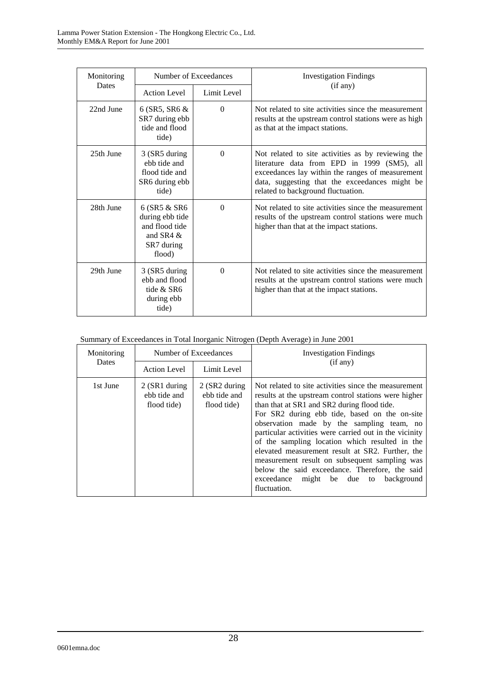| Monitoring | Number of Exceedances                                                                     |             | <b>Investigation Findings</b>                                                                                                                                                                                                                 |
|------------|-------------------------------------------------------------------------------------------|-------------|-----------------------------------------------------------------------------------------------------------------------------------------------------------------------------------------------------------------------------------------------|
| Dates      | <b>Action Level</b>                                                                       | Limit Level | (if any)                                                                                                                                                                                                                                      |
| 22nd June  | $6$ (SR5, SR6 $\&$<br>SR7 during ebb<br>tide and flood<br>tide)                           | $\Omega$    | Not related to site activities since the measurement<br>results at the upstream control stations were as high<br>as that at the impact stations.                                                                                              |
| 25th June  | 3 (SR5 during<br>ebb tide and<br>flood tide and<br>SR6 during ebb<br>tide)                | $\Omega$    | Not related to site activities as by reviewing the<br>literature data from EPD in 1999 (SM5), all<br>exceedances lay within the ranges of measurement<br>data, suggesting that the exceedances might be<br>related to background fluctuation. |
| 28th June  | 6 (SR5 & SR6<br>during ebb tide<br>and flood tide<br>and SR4 $\&$<br>SR7 during<br>flood) | $\Omega$    | Not related to site activities since the measurement<br>results of the upstream control stations were much<br>higher than that at the impact stations.                                                                                        |
| 29th June  | 3 (SR5 during<br>ebb and flood<br>tide & SR6<br>during ebb<br>tide)                       | $\Omega$    | Not related to site activities since the measurement<br>results at the upstream control stations were much<br>higher than that at the impact stations.                                                                                        |

| Summary of Exceedances in Total Inorganic Nitrogen (Depth Average) in June 2001 |  |  |
|---------------------------------------------------------------------------------|--|--|
|                                                                                 |  |  |

| Monitoring | Number of Exceedances                          |                                              | <b>Investigation Findings</b>                                                                                                                                                                                                                                                                                                                                                                                                                                                                                                                                                               |  |
|------------|------------------------------------------------|----------------------------------------------|---------------------------------------------------------------------------------------------------------------------------------------------------------------------------------------------------------------------------------------------------------------------------------------------------------------------------------------------------------------------------------------------------------------------------------------------------------------------------------------------------------------------------------------------------------------------------------------------|--|
| Dates      | <b>Action Level</b>                            | Limit Level                                  | (if any)                                                                                                                                                                                                                                                                                                                                                                                                                                                                                                                                                                                    |  |
| 1st June   | $2$ (SR1 during<br>ebb tide and<br>flood tide) | 2 (SR2 during<br>ebb tide and<br>flood tide) | Not related to site activities since the measurement<br>results at the upstream control stations were higher<br>than that at SR1 and SR2 during flood tide.<br>For SR2 during ebb tide, based on the on-site<br>observation made by the sampling team, no<br>particular activities were carried out in the vicinity<br>of the sampling location which resulted in the<br>elevated measurement result at SR2. Further, the<br>measurement result on subsequent sampling was<br>below the said exceedance. Therefore, the said<br>might be due to<br>exceedance<br>background<br>fluctuation. |  |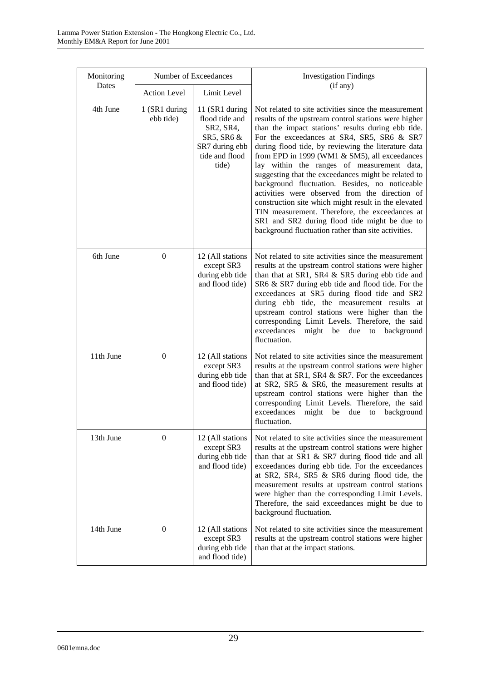| Monitoring |                            | Number of Exceedances                                                                                    | <b>Investigation Findings</b>                                                                                                                                                                                                                                                                                                                                                                                                                                                                                                                                                                                                                                                                                                                       |
|------------|----------------------------|----------------------------------------------------------------------------------------------------------|-----------------------------------------------------------------------------------------------------------------------------------------------------------------------------------------------------------------------------------------------------------------------------------------------------------------------------------------------------------------------------------------------------------------------------------------------------------------------------------------------------------------------------------------------------------------------------------------------------------------------------------------------------------------------------------------------------------------------------------------------------|
| Dates      | <b>Action Level</b>        | Limit Level                                                                                              | (if any)                                                                                                                                                                                                                                                                                                                                                                                                                                                                                                                                                                                                                                                                                                                                            |
| 4th June   | 1 (SR1 during<br>ebb tide) | 11 (SR1 during<br>flood tide and<br>SR2, SR4,<br>SR5, SR6 &<br>SR7 during ebb<br>tide and flood<br>tide) | Not related to site activities since the measurement<br>results of the upstream control stations were higher<br>than the impact stations' results during ebb tide.<br>For the exceedances at SR4, SR5, SR6 & SR7<br>during flood tide, by reviewing the literature data<br>from EPD in 1999 (WM1 & SM5), all exceedances<br>lay within the ranges of measurement data,<br>suggesting that the exceedances might be related to<br>background fluctuation. Besides, no noticeable<br>activities were observed from the direction of<br>construction site which might result in the elevated<br>TIN measurement. Therefore, the exceedances at<br>SR1 and SR2 during flood tide might be due to<br>background fluctuation rather than site activities. |
| 6th June   | $\boldsymbol{0}$           | 12 (All stations<br>except SR3<br>during ebb tide<br>and flood tide)                                     | Not related to site activities since the measurement<br>results at the upstream control stations were higher<br>than that at SR1, SR4 & SR5 during ebb tide and<br>SR6 & SR7 during ebb tide and flood tide. For the<br>exceedances at SR5 during flood tide and SR2<br>during ebb tide, the measurement results at<br>upstream control stations were higher than the<br>corresponding Limit Levels. Therefore, the said<br>exceedances<br>might<br>due<br>be<br>background<br>to<br>fluctuation.                                                                                                                                                                                                                                                   |
| 11th June  | $\overline{0}$             | 12 (All stations<br>except SR3<br>during ebb tide<br>and flood tide)                                     | Not related to site activities since the measurement<br>results at the upstream control stations were higher<br>than that at SR1, SR4 & SR7. For the exceedances<br>at SR2, SR5 & SR6, the measurement results at<br>upstream control stations were higher than the<br>corresponding Limit Levels. Therefore, the said<br>exceedances<br>might be<br>due<br>background<br>to<br>fluctuation.                                                                                                                                                                                                                                                                                                                                                        |
| 13th June  | $\overline{0}$             | 12 (All stations<br>except SR3<br>during ebb tide<br>and flood tide)                                     | Not related to site activities since the measurement<br>results at the upstream control stations were higher<br>than that at SR1 & SR7 during flood tide and all<br>exceedances during ebb tide. For the exceedances<br>at SR2, SR4, SR5 & SR6 during flood tide, the<br>measurement results at upstream control stations<br>were higher than the corresponding Limit Levels.<br>Therefore, the said exceedances might be due to<br>background fluctuation.                                                                                                                                                                                                                                                                                         |
| 14th June  | $\mathbf{0}$               | 12 (All stations<br>except SR3<br>during ebb tide<br>and flood tide)                                     | Not related to site activities since the measurement<br>results at the upstream control stations were higher<br>than that at the impact stations.                                                                                                                                                                                                                                                                                                                                                                                                                                                                                                                                                                                                   |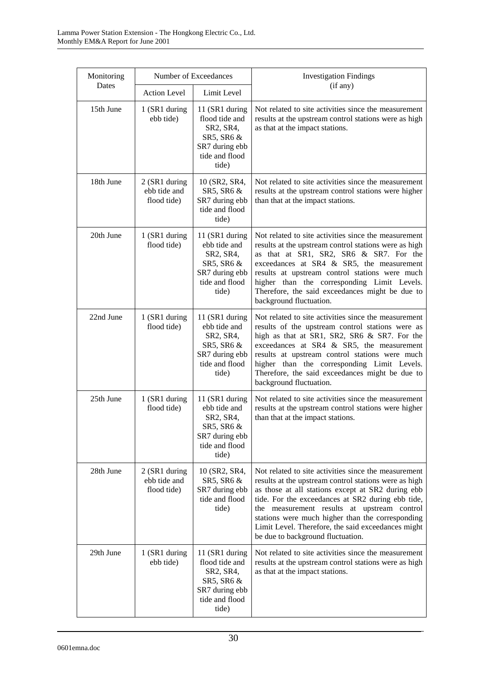| Monitoring |                                              | Number of Exceedances                                                                                     | <b>Investigation Findings</b>                                                                                                                                                                                                                                                                                                                                                                                         |
|------------|----------------------------------------------|-----------------------------------------------------------------------------------------------------------|-----------------------------------------------------------------------------------------------------------------------------------------------------------------------------------------------------------------------------------------------------------------------------------------------------------------------------------------------------------------------------------------------------------------------|
| Dates      | <b>Action Level</b>                          | Limit Level                                                                                               | (if any)                                                                                                                                                                                                                                                                                                                                                                                                              |
| 15th June  | 1 (SR1 during<br>ebb tide)                   | 11 (SR1 during<br>flood tide and<br>SR2, SR4,<br>SR5, SR6 &<br>SR7 during ebb<br>tide and flood<br>tide)  | Not related to site activities since the measurement<br>results at the upstream control stations were as high<br>as that at the impact stations.                                                                                                                                                                                                                                                                      |
| 18th June  | 2 (SR1 during<br>ebb tide and<br>flood tide) | 10 (SR2, SR4,<br>SR5, SR6 &<br>SR7 during ebb<br>tide and flood<br>tide)                                  | Not related to site activities since the measurement<br>results at the upstream control stations were higher<br>than that at the impact stations.                                                                                                                                                                                                                                                                     |
| 20th June  | 1 (SR1 during<br>flood tide)                 | 11 (SR1 during<br>ebb tide and<br>SR2, SR4,<br>SR5, SR6 &<br>SR7 during ebb<br>tide and flood<br>tide)    | Not related to site activities since the measurement<br>results at the upstream control stations were as high<br>as that at SR1, SR2, SR6 & SR7. For the<br>exceedances at SR4 & SR5, the measurement<br>results at upstream control stations were much<br>higher than the corresponding Limit Levels.<br>Therefore, the said exceedances might be due to<br>background fluctuation.                                  |
| 22nd June  | 1 (SR1 during<br>flood tide)                 | 11 (SR1 during<br>ebb tide and<br>SR2, SR4,<br>SR5, SR6 &<br>SR7 during ebb<br>tide and flood<br>tide)    | Not related to site activities since the measurement<br>results of the upstream control stations were as<br>high as that at SR1, SR2, SR6 & SR7. For the<br>exceedances at SR4 & SR5, the measurement<br>results at upstream control stations were much<br>higher than the corresponding Limit Levels.<br>Therefore, the said exceedances might be due to<br>background fluctuation.                                  |
| 25th June  | 1 (SR1 during<br>flood tide)                 | 11 (SR1 during<br>ebb tide and<br>SR2, SR4,<br>SR5, SR6 $\&$<br>SR7 during ebb<br>tide and flood<br>tide) | Not related to site activities since the measurement<br>results at the upstream control stations were higher<br>than that at the impact stations.                                                                                                                                                                                                                                                                     |
| 28th June  | 2 (SR1 during<br>ebb tide and<br>flood tide) | 10 (SR2, SR4,<br>SR5, SR6 &<br>SR7 during ebb<br>tide and flood<br>tide)                                  | Not related to site activities since the measurement<br>results at the upstream control stations were as high<br>as those at all stations except at SR2 during ebb<br>tide. For the exceedances at SR2 during ebb tide,<br>the measurement results at upstream control<br>stations were much higher than the corresponding<br>Limit Level. Therefore, the said exceedances might<br>be due to background fluctuation. |
| 29th June  | 1 (SR1 during<br>ebb tide)                   | 11 (SR1 during<br>flood tide and<br>SR2, SR4,<br>SR5, SR6 &<br>SR7 during ebb<br>tide and flood<br>tide)  | Not related to site activities since the measurement<br>results at the upstream control stations were as high<br>as that at the impact stations.                                                                                                                                                                                                                                                                      |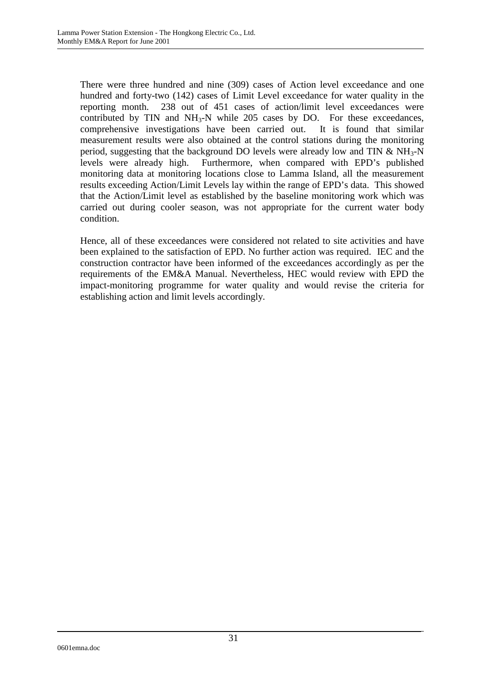There were three hundred and nine (309) cases of Action level exceedance and one hundred and forty-two (142) cases of Limit Level exceedance for water quality in the reporting month. 238 out of 451 cases of action/limit level exceedances were contributed by TIN and  $NH<sub>3</sub>-N$  while 205 cases by DO. For these exceedances, comprehensive investigations have been carried out. It is found that similar measurement results were also obtained at the control stations during the monitoring period, suggesting that the background DO levels were already low and TIN  $\&$  NH<sub>3</sub>-N levels were already high. Furthermore, when compared with EPD's published monitoring data at monitoring locations close to Lamma Island, all the measurement results exceeding Action/Limit Levels lay within the range of EPD's data. This showed that the Action/Limit level as established by the baseline monitoring work which was carried out during cooler season, was not appropriate for the current water body condition.

Hence, all of these exceedances were considered not related to site activities and have been explained to the satisfaction of EPD. No further action was required. IEC and the construction contractor have been informed of the exceedances accordingly as per the requirements of the EM&A Manual. Nevertheless, HEC would review with EPD the impact-monitoring programme for water quality and would revise the criteria for establishing action and limit levels accordingly.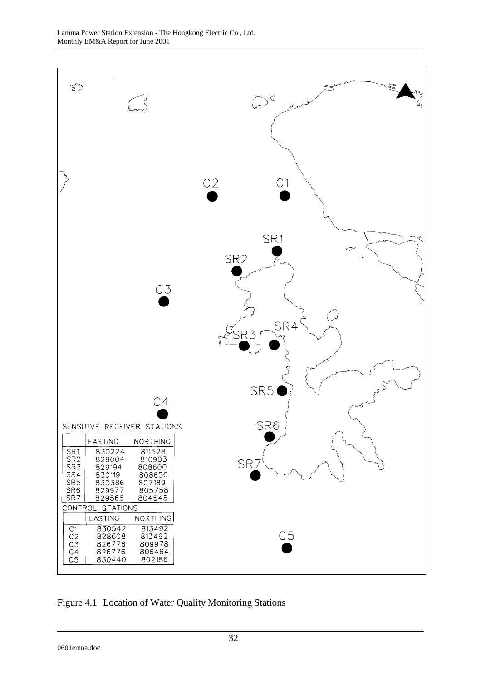

Figure 4.1 Location of Water Quality Monitoring Stations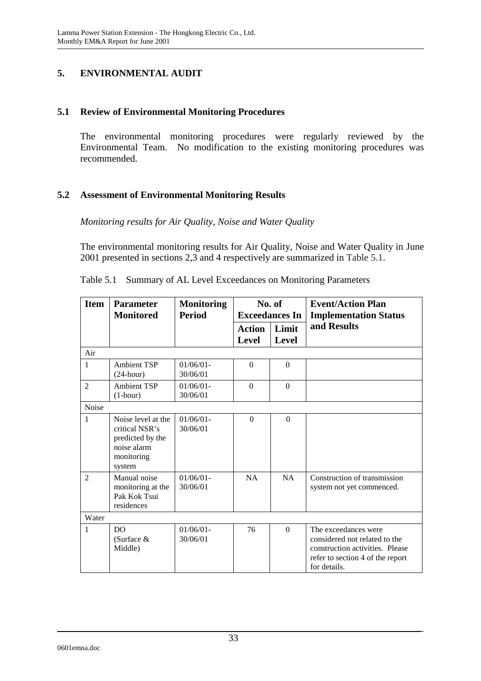### **5. ENVIRONMENTAL AUDIT**

#### **5.1 Review of Environmental Monitoring Procedures**

The environmental monitoring procedures were regularly reviewed by the Environmental Team. No modification to the existing monitoring procedures was recommended.

### **5.2 Assessment of Environmental Monitoring Results**

*Monitoring results for Air Quality, Noise and Water Quality* 

The environmental monitoring results for Air Quality, Noise and Water Quality in June 2001 presented in sections 2,3 and 4 respectively are summarized in Table 5.1.

| <b>Item</b>    | <b>Parameter</b>                                                                                | <b>Monitoring</b>        |                               | No. of                | <b>Event/Action Plan</b>                                                                                                                     |  |
|----------------|-------------------------------------------------------------------------------------------------|--------------------------|-------------------------------|-----------------------|----------------------------------------------------------------------------------------------------------------------------------------------|--|
|                | <b>Monitored</b>                                                                                | <b>Period</b>            |                               | <b>Exceedances In</b> | <b>Implementation Status</b>                                                                                                                 |  |
|                |                                                                                                 |                          | <b>Action</b><br><b>Level</b> | Limit<br><b>Level</b> | and Results                                                                                                                                  |  |
| Air            |                                                                                                 |                          |                               |                       |                                                                                                                                              |  |
| $\mathbf{1}$   | <b>Ambient TSP</b><br>$(24$ -hour)                                                              | $01/06/01 -$<br>30/06/01 | $\Omega$                      | $\Omega$              |                                                                                                                                              |  |
| $\overline{2}$ | <b>Ambient TSP</b><br>$(1-hour)$                                                                | $01/06/01 -$<br>30/06/01 | $\Omega$                      | $\Omega$              |                                                                                                                                              |  |
| Noise          |                                                                                                 |                          |                               |                       |                                                                                                                                              |  |
| $\mathbf{1}$   | Noise level at the<br>critical NSR's<br>predicted by the<br>noise alarm<br>monitoring<br>system | $01/06/01 -$<br>30/06/01 | $\Omega$                      | $\Omega$              |                                                                                                                                              |  |
| $\mathfrak{D}$ | Manual noise<br>monitoring at the<br>Pak Kok Tsui<br>residences                                 | $01/06/01 -$<br>30/06/01 | NA                            | NA                    | Construction of transmission<br>system not yet commenced.                                                                                    |  |
| Water          |                                                                                                 |                          |                               |                       |                                                                                                                                              |  |
| $\mathbf{1}$   | D <sub>O</sub><br>(Surface $&$<br>Middle)                                                       | $01/06/01 -$<br>30/06/01 | 76                            | $\Omega$              | The exceedances were<br>considered not related to the<br>construction activities. Please<br>refer to section 4 of the report<br>for details. |  |

Table 5.1 Summary of AL Level Exceedances on Monitoring Parameters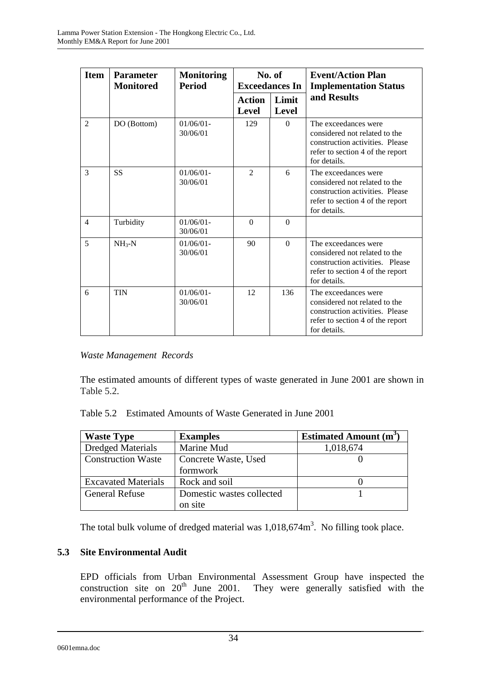| <b>Item</b>    | <b>Parameter</b><br><b>Monitored</b> | <b>Monitoring</b><br><b>Period</b> |                               | No. of<br><b>Exceedances In</b> | <b>Event/Action Plan</b><br><b>Implementation Status</b>                                                                                     |
|----------------|--------------------------------------|------------------------------------|-------------------------------|---------------------------------|----------------------------------------------------------------------------------------------------------------------------------------------|
|                |                                      |                                    | <b>Action</b><br><b>Level</b> | Limit<br>Level                  | and Results                                                                                                                                  |
| $\mathcal{L}$  | DO (Bottom)                          | $01/06/01 -$<br>30/06/01           | 129                           | $\Omega$                        | The exceedances were<br>considered not related to the<br>construction activities. Please<br>refer to section 4 of the report<br>for details. |
| 3              | <b>SS</b>                            | $01/06/01 -$<br>30/06/01           | $\mathcal{D}_{\mathcal{L}}$   | 6                               | The exceedances were<br>considered not related to the<br>construction activities. Please<br>refer to section 4 of the report<br>for details. |
| $\overline{4}$ | Turbidity                            | $01/06/01 -$<br>30/06/01           | $\Omega$                      | $\Omega$                        |                                                                                                                                              |
| 5              | $NH_{3}-N$                           | $01/06/01$ -<br>30/06/01           | 90                            | $\Omega$                        | The exceedances were<br>considered not related to the<br>construction activities. Please<br>refer to section 4 of the report<br>for details. |
| 6              | <b>TIN</b>                           | $01/06/01$ -<br>30/06/01           | 12                            | 136                             | The exceedances were<br>considered not related to the<br>construction activities. Please<br>refer to section 4 of the report<br>for details. |

## *Waste Management Records*

The estimated amounts of different types of waste generated in June 2001 are shown in Table 5.2.

| Table 5.2 Estimated Amounts of Waste Generated in June 2001 |  |  |
|-------------------------------------------------------------|--|--|
|                                                             |  |  |

| <b>Waste Type</b>          | <b>Examples</b>           | <b>Estimated Amount (m<sup>3</sup></b> |
|----------------------------|---------------------------|----------------------------------------|
| <b>Dredged Materials</b>   | Marine Mud                | 1,018,674                              |
| <b>Construction Waste</b>  | Concrete Waste, Used      |                                        |
|                            | formwork                  |                                        |
| <b>Excavated Materials</b> | Rock and soil             |                                        |
| <b>General Refuse</b>      | Domestic wastes collected |                                        |
|                            | on site                   |                                        |

The total bulk volume of dredged material was  $1,018,674m^3$ . No filling took place.

## **5.3 Site Environmental Audit**

EPD officials from Urban Environmental Assessment Group have inspected the construction site on  $20<sup>th</sup>$  June 2001. They were generally satisfied with the environmental performance of the Project.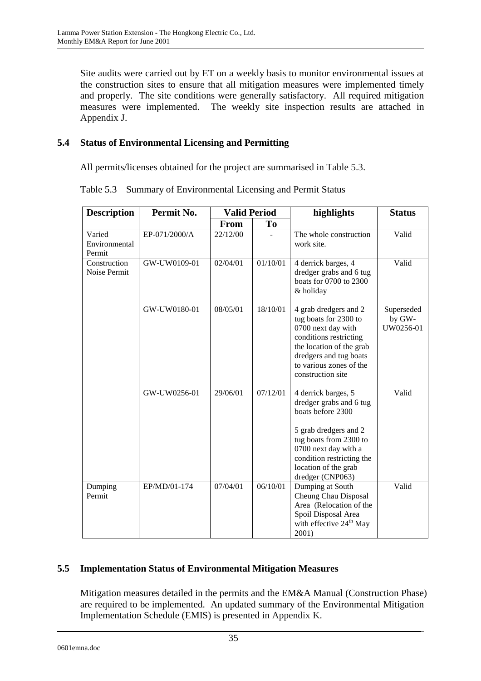Site audits were carried out by ET on a weekly basis to monitor environmental issues at the construction sites to ensure that all mitigation measures were implemented timely and properly. The site conditions were generally satisfactory. All required mitigation measures were implemented. The weekly site inspection results are attached in Appendix J.

# **5.4 Status of Environmental Licensing and Permitting**

All permits/licenses obtained for the project are summarised in Table 5.3.

| <b>Description</b>                | Permit No.    | <b>Valid Period</b> |          | highlights                                                                                                                                                                                                              | <b>Status</b>                     |
|-----------------------------------|---------------|---------------------|----------|-------------------------------------------------------------------------------------------------------------------------------------------------------------------------------------------------------------------------|-----------------------------------|
|                                   |               | From                | To       |                                                                                                                                                                                                                         |                                   |
| Varied<br>Environmental<br>Permit | EP-071/2000/A | 22/12/00            |          | The whole construction<br>work site.                                                                                                                                                                                    | Valid                             |
| Construction<br>Noise Permit      | GW-UW0109-01  | 02/04/01            | 01/10/01 | 4 derrick barges, 4<br>dredger grabs and 6 tug<br>boats for 0700 to 2300<br>& holiday                                                                                                                                   | Valid                             |
|                                   | GW-UW0180-01  | 08/05/01            | 18/10/01 | 4 grab dredgers and 2<br>tug boats for 2300 to<br>0700 next day with<br>conditions restricting<br>the location of the grab<br>dredgers and tug boats<br>to various zones of the<br>construction site                    | Superseded<br>by GW-<br>UW0256-01 |
|                                   | GW-UW0256-01  | 29/06/01            | 07/12/01 | 4 derrick barges, 5<br>dredger grabs and 6 tug<br>boats before 2300<br>5 grab dredgers and 2<br>tug boats from 2300 to<br>0700 next day with a<br>condition restricting the<br>location of the grab<br>dredger (CNP063) | Valid                             |
| Dumping<br>Permit                 | EP/MD/01-174  | 07/04/01            | 06/10/01 | Dumping at South<br>Cheung Chau Disposal<br>Area (Relocation of the<br>Spoil Disposal Area<br>with effective $24th$ May<br>2001)                                                                                        | Valid                             |

Table 5.3 Summary of Environmental Licensing and Permit Status

# **5.5 Implementation Status of Environmental Mitigation Measures**

Mitigation measures detailed in the permits and the EM&A Manual (Construction Phase) are required to be implemented. An updated summary of the Environmental Mitigation Implementation Schedule (EMIS) is presented in Appendix K.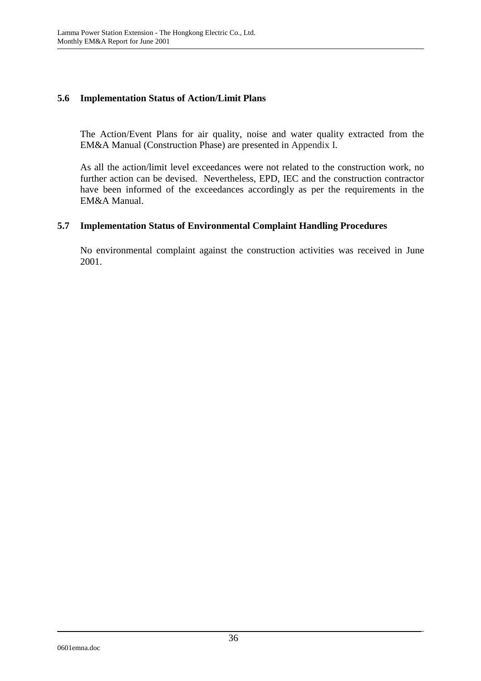### **5.6 Implementation Status of Action/Limit Plans**

The Action/Event Plans for air quality, noise and water quality extracted from the EM&A Manual (Construction Phase) are presented in Appendix I.

As all the action/limit level exceedances were not related to the construction work, no further action can be devised. Nevertheless, EPD, IEC and the construction contractor have been informed of the exceedances accordingly as per the requirements in the EM&A Manual.

### **5.7 Implementation Status of Environmental Complaint Handling Procedures**

No environmental complaint against the construction activities was received in June 2001.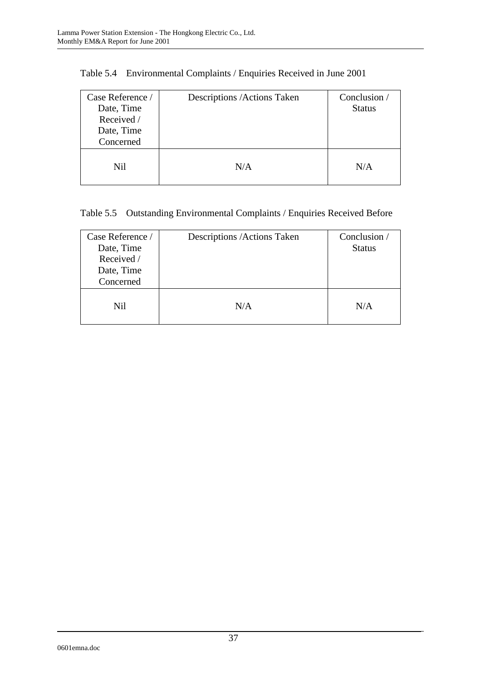| Case Reference /<br>Date, Time<br>Received /<br>Date, Time<br>Concerned | Descriptions / Actions Taken | Conclusion /<br><b>Status</b> |
|-------------------------------------------------------------------------|------------------------------|-------------------------------|
| Nil                                                                     | N/A                          | N/A                           |

|  |  | Table 5.4 Environmental Complaints / Enquiries Received in June 2001 |
|--|--|----------------------------------------------------------------------|
|  |  |                                                                      |

# Table 5.5 Outstanding Environmental Complaints / Enquiries Received Before

| Case Reference /<br>Date, Time<br>Received /<br>Date, Time<br>Concerned | Descriptions / Actions Taken | Conclusion /<br><b>Status</b> |
|-------------------------------------------------------------------------|------------------------------|-------------------------------|
| Nil                                                                     | N/A                          | N/A                           |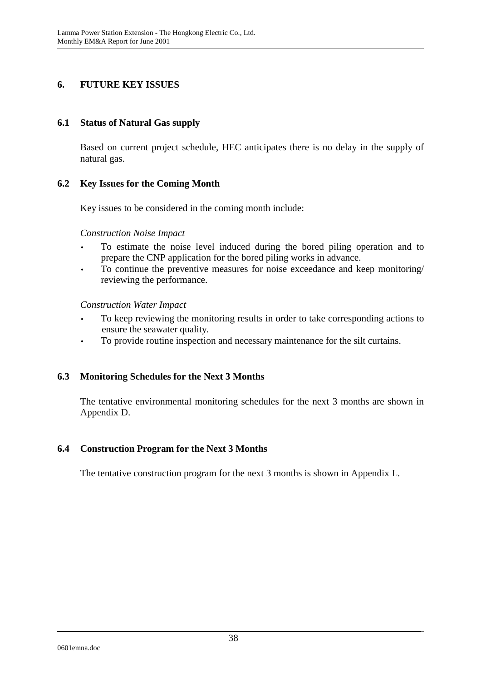## **6. FUTURE KEY ISSUES**

#### **6.1 Status of Natural Gas supply**

Based on current project schedule, HEC anticipates there is no delay in the supply of natural gas.

### **6.2 Key Issues for the Coming Month**

Key issues to be considered in the coming month include:

#### *Construction Noise Impact*

- To estimate the noise level induced during the bored piling operation and to prepare the CNP application for the bored piling works in advance.
- To continue the preventive measures for noise exceedance and keep monitoring/ reviewing the performance.

*Construction Water Impact* 

- To keep reviewing the monitoring results in order to take corresponding actions to ensure the seawater quality.
- To provide routine inspection and necessary maintenance for the silt curtains.

### **6.3 Monitoring Schedules for the Next 3 Months**

The tentative environmental monitoring schedules for the next 3 months are shown in Appendix D.

#### **6.4 Construction Program for the Next 3 Months**

The tentative construction program for the next 3 months is shown in Appendix L.